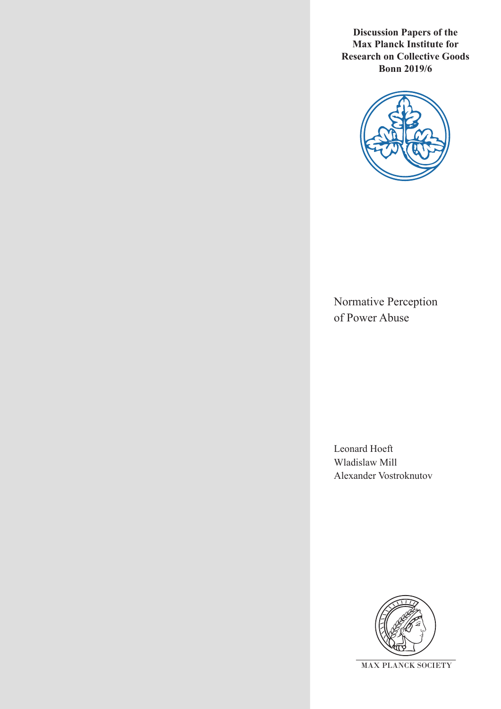**Discussion Papers of the Max Planck Institute for Research on Collective Goods Bonn 2019/6**



Normative Perception of Power Abuse

Leonard Hoeft Wladislaw Mill Alexander Vostroknutov

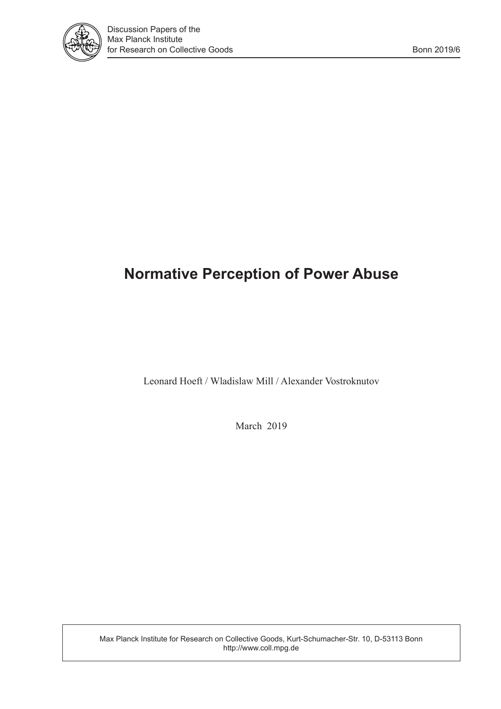

# **Normative Perception of Power Abuse**

Leonard Hoeft / Wladislaw Mill / Alexander Vostroknutov

March 2019

Max Planck Institute for Research on Collective Goods, Kurt-Schumacher-Str. 10, D-53113 Bonn http://www.coll.mpg.de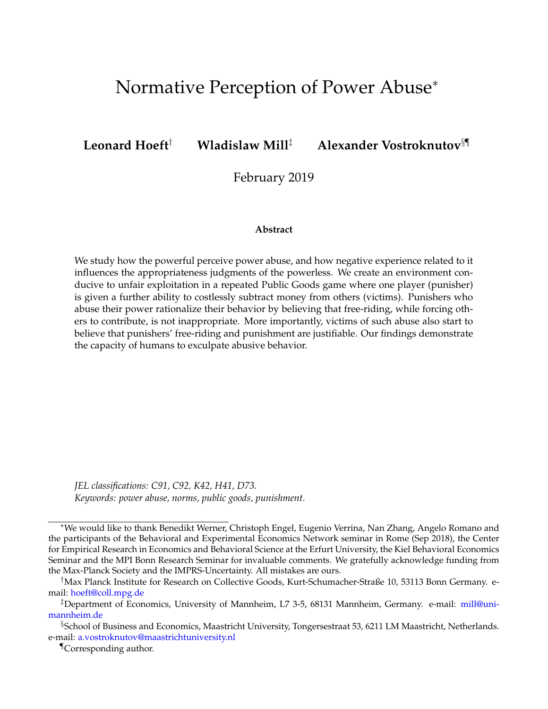# Normative Perception of Power Abuse<sup>∗</sup>

## **Leonard Hoeft**† **Wladislaw Mill**‡ **Alexander Vostroknutov**§¶

February 2019

## **Abstract**

We study how the powerful perceive power abuse, and how negative experience related to it influences the appropriateness judgments of the powerless. We create an environment conducive to unfair exploitation in a repeated Public Goods game where one player (punisher) is given a further ability to costlessly subtract money from others (victims). Punishers who abuse their power rationalize their behavior by believing that free-riding, while forcing others to contribute, is not inappropriate. More importantly, victims of such abuse also start to believe that punishers' free-riding and punishment are justifiable. Our findings demonstrate the capacity of humans to exculpate abusive behavior.

*JEL classifications: C91, C92, K42, H41, D73. Keywords: power abuse, norms, public goods, punishment.*

<sup>∗</sup>We would like to thank Benedikt Werner, Christoph Engel, Eugenio Verrina, Nan Zhang, Angelo Romano and the participants of the Behavioral and Experimental Economics Network seminar in Rome (Sep 2018), the Center for Empirical Research in Economics and Behavioral Science at the Erfurt University, the Kiel Behavioral Economics Seminar and the MPI Bonn Research Seminar for invaluable comments. We gratefully acknowledge funding from the Max-Planck Society and the IMPRS-Uncertainty. All mistakes are ours.

<sup>†</sup>Max Planck Institute for Research on Collective Goods, Kurt-Schumacher-Straße 10, 53113 Bonn Germany. email: [hoeft@coll.mpg.de](mailto:hoeft@coll.mpg.de)

<sup>‡</sup>Department of Economics, University of Mannheim, L7 3-5, 68131 Mannheim, Germany. e-mail: [mill@uni](mailto:mill@uni-mannheim.de)[mannheim.de](mailto:mill@uni-mannheim.de)

<sup>§</sup>School of Business and Economics, Maastricht University, Tongersestraat 53, 6211 LM Maastricht, Netherlands. e-mail: [a.vostroknutov@maastrichtuniversity.nl](mailto:a.vostroknutov@maastrichtuniversity.nl)

<sup>¶</sup>Corresponding author.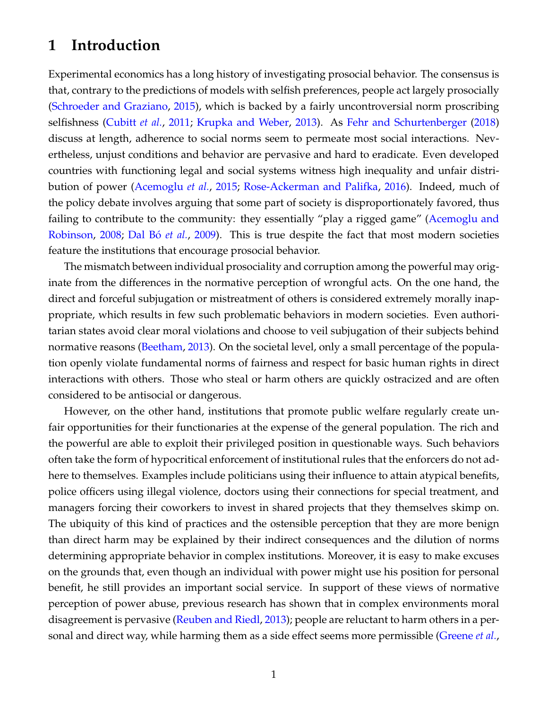# **1 Introduction**

Experimental economics has a long history of investigating prosocial behavior. The consensus is that, contrary to the predictions of models with selfish preferences, people act largely prosocially [\(Schroeder and Graziano,](#page-27-0) [2015\)](#page-27-0), which is backed by a fairly uncontroversial norm proscribing selfishness [\(Cubitt](#page-25-0) *et al.*, [2011;](#page-25-0) [Krupka and Weber,](#page-27-1) [2013\)](#page-27-1). As [Fehr and Schurtenberger](#page-26-0) [\(2018\)](#page-26-0) discuss at length, adherence to social norms seem to permeate most social interactions. Nevertheless, unjust conditions and behavior are pervasive and hard to eradicate. Even developed countries with functioning legal and social systems witness high inequality and unfair distribution of power [\(Acemoglu](#page-25-1) *et al.*, [2015;](#page-25-1) [Rose-Ackerman and Palifka,](#page-27-2) [2016\)](#page-27-2). Indeed, much of the policy debate involves arguing that some part of society is disproportionately favored, thus failing to contribute to the community: they essentially "play a rigged game" [\(Acemoglu and](#page-25-2) [Robinson,](#page-25-2) [2008;](#page-25-2) Dal Bó *et al.*, [2009\)](#page-25-3). This is true despite the fact that most modern societies feature the institutions that encourage prosocial behavior.

The mismatch between individual prosociality and corruption among the powerful may originate from the differences in the normative perception of wrongful acts. On the one hand, the direct and forceful subjugation or mistreatment of others is considered extremely morally inappropriate, which results in few such problematic behaviors in modern societies. Even authoritarian states avoid clear moral violations and choose to veil subjugation of their subjects behind normative reasons [\(Beetham,](#page-25-4) [2013\)](#page-25-4). On the societal level, only a small percentage of the population openly violate fundamental norms of fairness and respect for basic human rights in direct interactions with others. Those who steal or harm others are quickly ostracized and are often considered to be antisocial or dangerous.

However, on the other hand, institutions that promote public welfare regularly create unfair opportunities for their functionaries at the expense of the general population. The rich and the powerful are able to exploit their privileged position in questionable ways. Such behaviors often take the form of hypocritical enforcement of institutional rules that the enforcers do not adhere to themselves. Examples include politicians using their influence to attain atypical benefits, police officers using illegal violence, doctors using their connections for special treatment, and managers forcing their coworkers to invest in shared projects that they themselves skimp on. The ubiquity of this kind of practices and the ostensible perception that they are more benign than direct harm may be explained by their indirect consequences and the dilution of norms determining appropriate behavior in complex institutions. Moreover, it is easy to make excuses on the grounds that, even though an individual with power might use his position for personal benefit, he still provides an important social service. In support of these views of normative perception of power abuse, previous research has shown that in complex environments moral disagreement is pervasive [\(Reuben and Riedl,](#page-27-3) [2013\)](#page-27-3); people are reluctant to harm others in a personal and direct way, while harming them as a side effect seems more permissible [\(Greene](#page-26-1) *et al.*,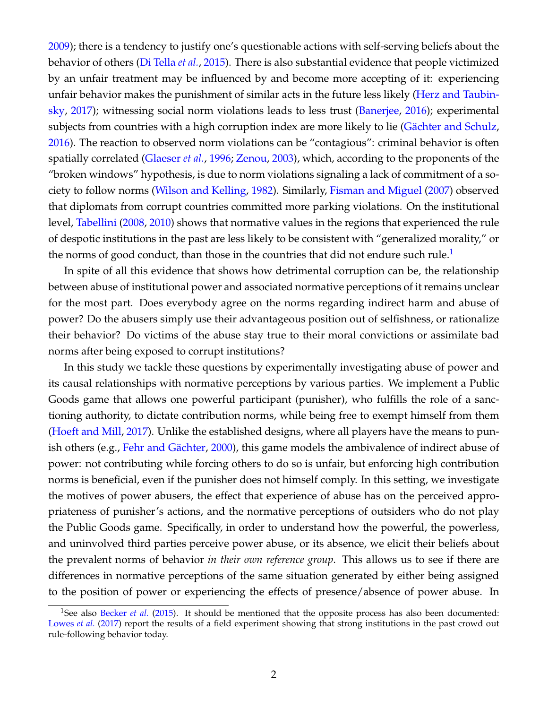[2009\)](#page-26-1); there is a tendency to justify one's questionable actions with self-serving beliefs about the behavior of others [\(Di Tella](#page-25-5) *et al.*, [2015\)](#page-25-5). There is also substantial evidence that people victimized by an unfair treatment may be influenced by and become more accepting of it: experiencing unfair behavior makes the punishment of similar acts in the future less likely [\(Herz and Taubin](#page-26-2)[sky,](#page-26-2) [2017\)](#page-26-2); witnessing social norm violations leads to less trust [\(Banerjee,](#page-25-6) [2016\)](#page-25-6); experimental subjects from countries with a high corruption index are more likely to lie (Gächter and Schulz, [2016\)](#page-26-3). The reaction to observed norm violations can be "contagious": criminal behavior is often spatially correlated [\(Glaeser](#page-26-4) *et al.*, [1996;](#page-26-4) [Zenou,](#page-27-4) [2003\)](#page-27-4), which, according to the proponents of the "broken windows" hypothesis, is due to norm violations signaling a lack of commitment of a society to follow norms [\(Wilson and Kelling,](#page-27-5) [1982\)](#page-27-5). Similarly, [Fisman and Miguel](#page-26-5) [\(2007\)](#page-26-5) observed that diplomats from corrupt countries committed more parking violations. On the institutional level, [Tabellini](#page-27-6) [\(2008,](#page-27-6) [2010\)](#page-27-7) shows that normative values in the regions that experienced the rule of despotic institutions in the past are less likely to be consistent with "generalized morality," or the norms of good conduct, than those in the countries that did not endure such rule. $<sup>1</sup>$  $<sup>1</sup>$  $<sup>1</sup>$ </sup>

In spite of all this evidence that shows how detrimental corruption can be, the relationship between abuse of institutional power and associated normative perceptions of it remains unclear for the most part. Does everybody agree on the norms regarding indirect harm and abuse of power? Do the abusers simply use their advantageous position out of selfishness, or rationalize their behavior? Do victims of the abuse stay true to their moral convictions or assimilate bad norms after being exposed to corrupt institutions?

In this study we tackle these questions by experimentally investigating abuse of power and its causal relationships with normative perceptions by various parties. We implement a Public Goods game that allows one powerful participant (punisher), who fulfills the role of a sanctioning authority, to dictate contribution norms, while being free to exempt himself from them [\(Hoeft and Mill,](#page-26-6) [2017\)](#page-26-6). Unlike the established designs, where all players have the means to pun-ish others (e.g., Fehr and Gächter, [2000\)](#page-26-7), this game models the ambivalence of indirect abuse of power: not contributing while forcing others to do so is unfair, but enforcing high contribution norms is beneficial, even if the punisher does not himself comply. In this setting, we investigate the motives of power abusers, the effect that experience of abuse has on the perceived appropriateness of punisher's actions, and the normative perceptions of outsiders who do not play the Public Goods game. Specifically, in order to understand how the powerful, the powerless, and uninvolved third parties perceive power abuse, or its absence, we elicit their beliefs about the prevalent norms of behavior *in their own reference group*. This allows us to see if there are differences in normative perceptions of the same situation generated by either being assigned to the position of power or experiencing the effects of presence/absence of power abuse. In

<span id="page-4-0"></span><sup>&</sup>lt;sup>1</sup>See also [Becker](#page-25-7) *et al.* [\(2015\)](#page-25-7). It should be mentioned that the opposite process has also been documented: [Lowes](#page-27-8) *et al.* [\(2017\)](#page-27-8) report the results of a field experiment showing that strong institutions in the past crowd out rule-following behavior today.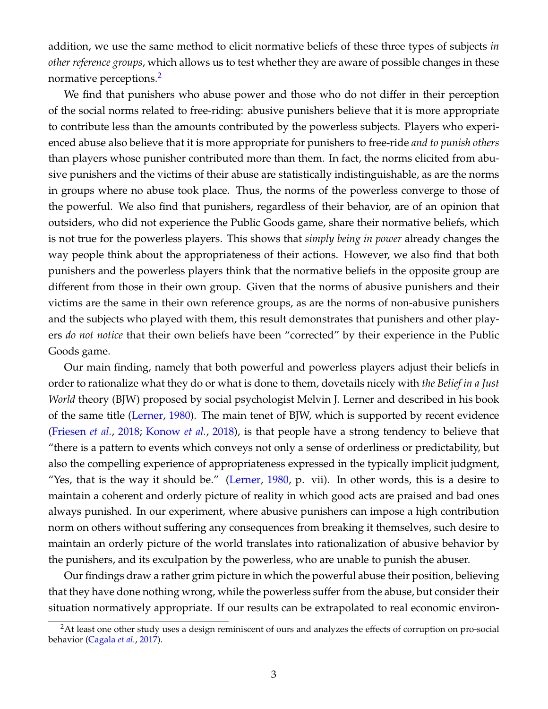addition, we use the same method to elicit normative beliefs of these three types of subjects *in other reference groups*, which allows us to test whether they are aware of possible changes in these normative perceptions.<sup>[2](#page-5-0)</sup>

We find that punishers who abuse power and those who do not differ in their perception of the social norms related to free-riding: abusive punishers believe that it is more appropriate to contribute less than the amounts contributed by the powerless subjects. Players who experienced abuse also believe that it is more appropriate for punishers to free-ride *and to punish others* than players whose punisher contributed more than them. In fact, the norms elicited from abusive punishers and the victims of their abuse are statistically indistinguishable, as are the norms in groups where no abuse took place. Thus, the norms of the powerless converge to those of the powerful. We also find that punishers, regardless of their behavior, are of an opinion that outsiders, who did not experience the Public Goods game, share their normative beliefs, which is not true for the powerless players. This shows that *simply being in power* already changes the way people think about the appropriateness of their actions. However, we also find that both punishers and the powerless players think that the normative beliefs in the opposite group are different from those in their own group. Given that the norms of abusive punishers and their victims are the same in their own reference groups, as are the norms of non-abusive punishers and the subjects who played with them, this result demonstrates that punishers and other players *do not notice* that their own beliefs have been "corrected" by their experience in the Public Goods game.

Our main finding, namely that both powerful and powerless players adjust their beliefs in order to rationalize what they do or what is done to them, dovetails nicely with *the Belief in a Just World* theory (BJW) proposed by social psychologist Melvin J. Lerner and described in his book of the same title [\(Lerner,](#page-27-9) [1980\)](#page-27-9). The main tenet of BJW, which is supported by recent evidence [\(Friesen](#page-26-8) *et al.*, [2018;](#page-26-8) [Konow](#page-26-9) *et al.*, [2018\)](#page-26-9), is that people have a strong tendency to believe that "there is a pattern to events which conveys not only a sense of orderliness or predictability, but also the compelling experience of appropriateness expressed in the typically implicit judgment, "Yes, that is the way it should be." [\(Lerner,](#page-27-9) [1980,](#page-27-9) p. vii). In other words, this is a desire to maintain a coherent and orderly picture of reality in which good acts are praised and bad ones always punished. In our experiment, where abusive punishers can impose a high contribution norm on others without suffering any consequences from breaking it themselves, such desire to maintain an orderly picture of the world translates into rationalization of abusive behavior by the punishers, and its exculpation by the powerless, who are unable to punish the abuser.

Our findings draw a rather grim picture in which the powerful abuse their position, believing that they have done nothing wrong, while the powerless suffer from the abuse, but consider their situation normatively appropriate. If our results can be extrapolated to real economic environ-

<span id="page-5-0"></span><sup>&</sup>lt;sup>2</sup>At least one other study uses a design reminiscent of ours and analyzes the effects of corruption on pro-social behavior [\(Cagala](#page-25-8) *et al.*, [2017\)](#page-25-8).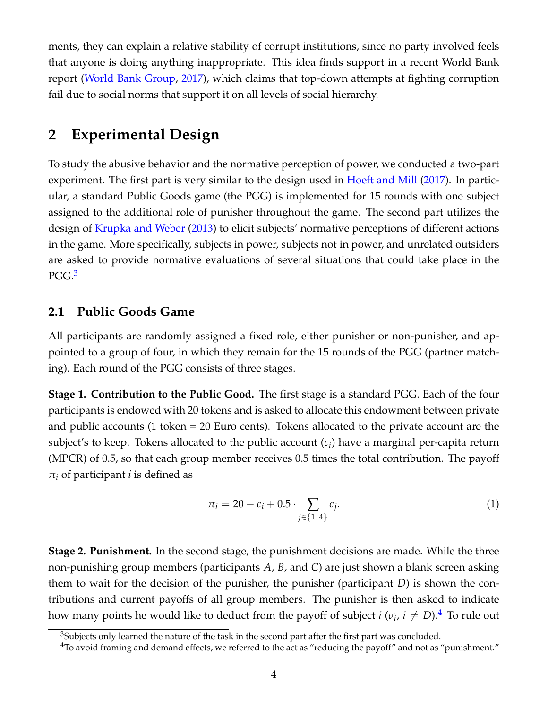ments, they can explain a relative stability of corrupt institutions, since no party involved feels that anyone is doing anything inappropriate. This idea finds support in a recent World Bank report [\(World Bank Group,](#page-27-10) [2017\)](#page-27-10), which claims that top-down attempts at fighting corruption fail due to social norms that support it on all levels of social hierarchy.

# **2 Experimental Design**

To study the abusive behavior and the normative perception of power, we conducted a two-part experiment. The first part is very similar to the design used in [Hoeft and Mill](#page-26-6) [\(2017\)](#page-26-6). In particular, a standard Public Goods game (the PGG) is implemented for 15 rounds with one subject assigned to the additional role of punisher throughout the game. The second part utilizes the design of [Krupka and Weber](#page-27-1) [\(2013\)](#page-27-1) to elicit subjects' normative perceptions of different actions in the game. More specifically, subjects in power, subjects not in power, and unrelated outsiders are asked to provide normative evaluations of several situations that could take place in the PGG.<sup>[3](#page-6-0)</sup>

# **2.1 Public Goods Game**

All participants are randomly assigned a fixed role, either punisher or non-punisher, and appointed to a group of four, in which they remain for the 15 rounds of the PGG (partner matching). Each round of the PGG consists of three stages.

**Stage 1. Contribution to the Public Good.** The first stage is a standard PGG. Each of the four participants is endowed with 20 tokens and is asked to allocate this endowment between private and public accounts (1 token = 20 Euro cents). Tokens allocated to the private account are the subject's to keep. Tokens allocated to the public account (*c<sup>i</sup>* ) have a marginal per-capita return (MPCR) of 0.5, so that each group member receives 0.5 times the total contribution. The payoff *π<sup>i</sup>* of participant *i* is defined as

<span id="page-6-2"></span>
$$
\pi_i = 20 - c_i + 0.5 \cdot \sum_{j \in \{1..4\}} c_j. \tag{1}
$$

**Stage 2. Punishment.** In the second stage, the punishment decisions are made. While the three non-punishing group members (participants *A*, *B*, and *C*) are just shown a blank screen asking them to wait for the decision of the punisher, the punisher (participant *D*) is shown the contributions and current payoffs of all group members. The punisher is then asked to indicate how many points he would like to deduct from the payoff of subject  $i$  ( $\sigma_i$ ,  $i \neq D$ ). $^4$  $^4$  To rule out

<span id="page-6-0"></span> $3$ Subjects only learned the nature of the task in the second part after the first part was concluded.

<span id="page-6-1"></span> $4$ To avoid framing and demand effects, we referred to the act as "reducing the payoff" and not as "punishment."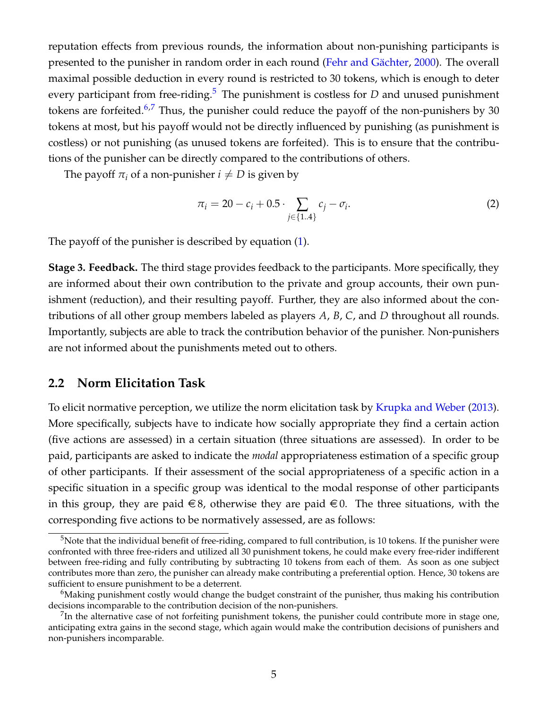reputation effects from previous rounds, the information about non-punishing participants is presented to the punisher in random order in each round (Fehr and Gächter, [2000\)](#page-26-7). The overall maximal possible deduction in every round is restricted to 30 tokens, which is enough to deter every participant from free-riding.<sup>[5](#page-7-0)</sup> The punishment is costless for *D* and unused punishment tokens are forfeited.<sup>[6,](#page-7-1)[7](#page-7-2)</sup> Thus, the punisher could reduce the payoff of the non-punishers by 30 tokens at most, but his payoff would not be directly influenced by punishing (as punishment is costless) or not punishing (as unused tokens are forfeited). This is to ensure that the contributions of the punisher can be directly compared to the contributions of others.

The payoff  $\pi_i$  of a non-punisher  $i \neq D$  is given by

$$
\pi_i = 20 - c_i + 0.5 \cdot \sum_{j \in \{1..4\}} c_j - \sigma_i. \tag{2}
$$

The payoff of the punisher is described by equation [\(1\)](#page-6-2).

**Stage 3. Feedback.** The third stage provides feedback to the participants. More specifically, they are informed about their own contribution to the private and group accounts, their own punishment (reduction), and their resulting payoff. Further, they are also informed about the contributions of all other group members labeled as players *A*, *B*, *C*, and *D* throughout all rounds. Importantly, subjects are able to track the contribution behavior of the punisher. Non-punishers are not informed about the punishments meted out to others.

## **2.2 Norm Elicitation Task**

To elicit normative perception, we utilize the norm elicitation task by [Krupka and Weber](#page-27-1) [\(2013\)](#page-27-1). More specifically, subjects have to indicate how socially appropriate they find a certain action (five actions are assessed) in a certain situation (three situations are assessed). In order to be paid, participants are asked to indicate the *modal* appropriateness estimation of a specific group of other participants. If their assessment of the social appropriateness of a specific action in a specific situation in a specific group was identical to the modal response of other participants in this group, they are paid  $\in$  8, otherwise they are paid  $\in$  0. The three situations, with the corresponding five actions to be normatively assessed, are as follows:

<span id="page-7-0"></span><sup>&</sup>lt;sup>5</sup>Note that the individual benefit of free-riding, compared to full contribution, is 10 tokens. If the punisher were confronted with three free-riders and utilized all 30 punishment tokens, he could make every free-rider indifferent between free-riding and fully contributing by subtracting 10 tokens from each of them. As soon as one subject contributes more than zero, the punisher can already make contributing a preferential option. Hence, 30 tokens are sufficient to ensure punishment to be a deterrent.

<span id="page-7-1"></span><sup>&</sup>lt;sup>6</sup>Making punishment costly would change the budget constraint of the punisher, thus making his contribution decisions incomparable to the contribution decision of the non-punishers.

<span id="page-7-2"></span> $^{7}$ In the alternative case of not forfeiting punishment tokens, the punisher could contribute more in stage one, anticipating extra gains in the second stage, which again would make the contribution decisions of punishers and non-punishers incomparable.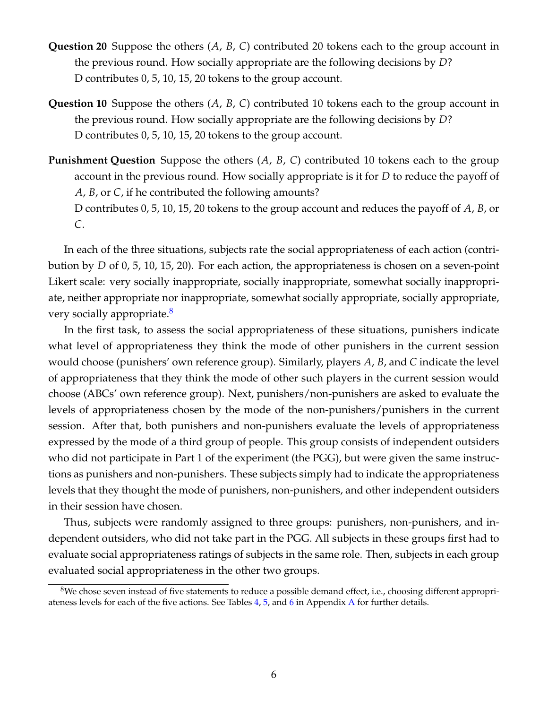- **Question 20** Suppose the others (*A*, *B*, *C*) contributed 20 tokens each to the group account in the previous round. How socially appropriate are the following decisions by *D*? D contributes 0, 5, 10, 15, 20 tokens to the group account.
- **Question 10** Suppose the others (*A*, *B*, *C*) contributed 10 tokens each to the group account in the previous round. How socially appropriate are the following decisions by *D*? D contributes 0, 5, 10, 15, 20 tokens to the group account.
- **Punishment Question** Suppose the others (*A*, *B*, *C*) contributed 10 tokens each to the group account in the previous round. How socially appropriate is it for *D* to reduce the payoff of *A*, *B*, or *C*, if he contributed the following amounts?

D contributes 0, 5, 10, 15, 20 tokens to the group account and reduces the payoff of *A*, *B*, or *C*.

In each of the three situations, subjects rate the social appropriateness of each action (contribution by *D* of 0, 5, 10, 15, 20). For each action, the appropriateness is chosen on a seven-point Likert scale: very socially inappropriate, socially inappropriate, somewhat socially inappropriate, neither appropriate nor inappropriate, somewhat socially appropriate, socially appropriate, very socially appropriate.<sup>[8](#page-8-0)</sup>

In the first task, to assess the social appropriateness of these situations, punishers indicate what level of appropriateness they think the mode of other punishers in the current session would choose (punishers' own reference group). Similarly, players *A*, *B*, and *C* indicate the level of appropriateness that they think the mode of other such players in the current session would choose (ABCs' own reference group). Next, punishers/non-punishers are asked to evaluate the levels of appropriateness chosen by the mode of the non-punishers/punishers in the current session. After that, both punishers and non-punishers evaluate the levels of appropriateness expressed by the mode of a third group of people. This group consists of independent outsiders who did not participate in Part 1 of the experiment (the PGG), but were given the same instructions as punishers and non-punishers. These subjects simply had to indicate the appropriateness levels that they thought the mode of punishers, non-punishers, and other independent outsiders in their session have chosen.

Thus, subjects were randomly assigned to three groups: punishers, non-punishers, and independent outsiders, who did not take part in the PGG. All subjects in these groups first had to evaluate social appropriateness ratings of subjects in the same role. Then, subjects in each group evaluated social appropriateness in the other two groups.

<span id="page-8-0"></span> $8$ We chose seven instead of five statements to reduce a possible demand effect, i.e., choosing different appropriateness levels for each of the five actions. See Tables [4,](#page-28-0) [5,](#page-28-1) and [6](#page-29-0) in Appendix [A](#page-28-2) for further details.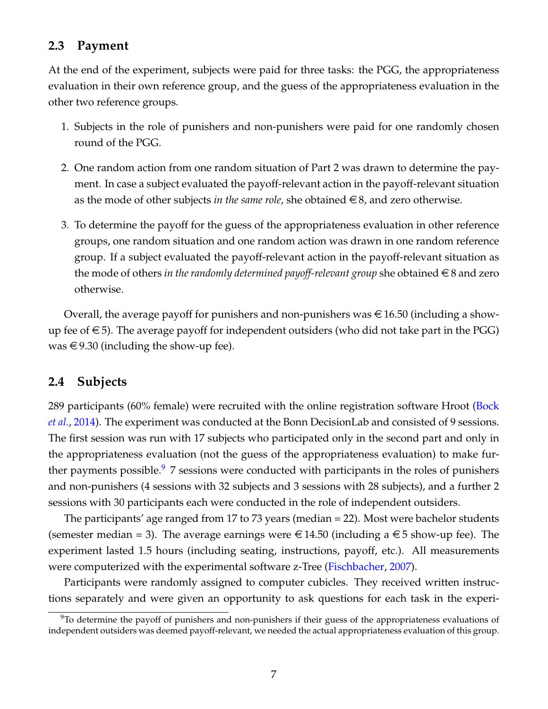# **2.3 Payment**

At the end of the experiment, subjects were paid for three tasks: the PGG, the appropriateness evaluation in their own reference group, and the guess of the appropriateness evaluation in the other two reference groups.

- 1. Subjects in the role of punishers and non-punishers were paid for one randomly chosen round of the PGG.
- 2. One random action from one random situation of Part 2 was drawn to determine the payment. In case a subject evaluated the payoff-relevant action in the payoff-relevant situation as the mode of other subjects *in the same role*, she obtained  $\in$  8, and zero otherwise.
- 3. To determine the payoff for the guess of the appropriateness evaluation in other reference groups, one random situation and one random action was drawn in one random reference group. If a subject evaluated the payoff-relevant action in the payoff-relevant situation as the mode of others *in the randomly determined payoff-relevant group* she obtained  $\in$  8 and zero otherwise.

Overall, the average payoff for punishers and non-punishers was  $\in$  16.50 (including a showup fee of  $\epsilon$ 5). The average payoff for independent outsiders (who did not take part in the PGG) was  $\in$  9.30 (including the show-up fee).

## **2.4 Subjects**

289 participants (60% female) were recruited with the online registration software Hroot [\(Bock](#page-25-9) *[et al.](#page-25-9)*, [2014\)](#page-25-9). The experiment was conducted at the Bonn DecisionLab and consisted of 9 sessions. The first session was run with 17 subjects who participated only in the second part and only in the appropriateness evaluation (not the guess of the appropriateness evaluation) to make fur-ther payments possible.<sup>[9](#page-9-0)</sup> 7 sessions were conducted with participants in the roles of punishers and non-punishers (4 sessions with 32 subjects and 3 sessions with 28 subjects), and a further 2 sessions with 30 participants each were conducted in the role of independent outsiders.

The participants' age ranged from 17 to 73 years (median = 22). Most were bachelor students (semester median = 3). The average earnings were  $\in$  14.50 (including a  $\in$  5 show-up fee). The experiment lasted 1.5 hours (including seating, instructions, payoff, etc.). All measurements were computerized with the experimental software z-Tree [\(Fischbacher,](#page-26-10) [2007\)](#page-26-10).

Participants were randomly assigned to computer cubicles. They received written instructions separately and were given an opportunity to ask questions for each task in the experi-

<span id="page-9-0"></span> $9$ To determine the payoff of punishers and non-punishers if their guess of the appropriateness evaluations of independent outsiders was deemed payoff-relevant, we needed the actual appropriateness evaluation of this group.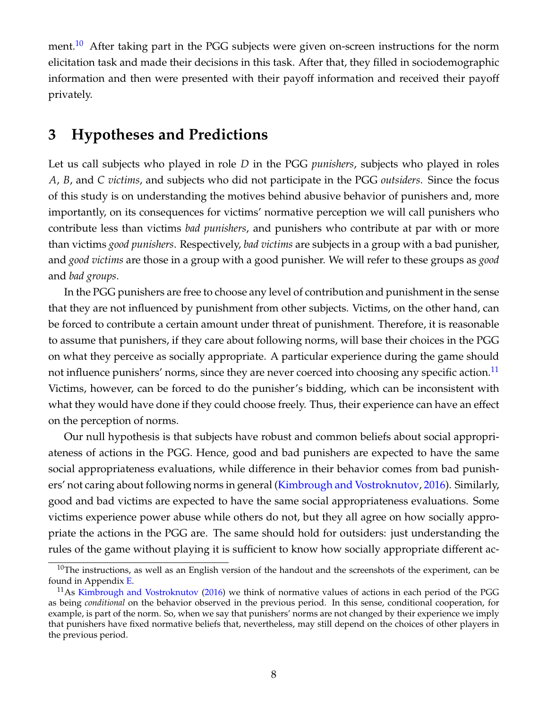ment.<sup>[10](#page-10-0)</sup> After taking part in the PGG subjects were given on-screen instructions for the norm elicitation task and made their decisions in this task. After that, they filled in sociodemographic information and then were presented with their payoff information and received their payoff privately.

# **3 Hypotheses and Predictions**

Let us call subjects who played in role *D* in the PGG *punishers*, subjects who played in roles *A*, *B*, and *C victims*, and subjects who did not participate in the PGG *outsiders*. Since the focus of this study is on understanding the motives behind abusive behavior of punishers and, more importantly, on its consequences for victims' normative perception we will call punishers who contribute less than victims *bad punishers*, and punishers who contribute at par with or more than victims *good punishers*. Respectively, *bad victims* are subjects in a group with a bad punisher, and *good victims* are those in a group with a good punisher. We will refer to these groups as *good* and *bad groups*.

In the PGG punishers are free to choose any level of contribution and punishment in the sense that they are not influenced by punishment from other subjects. Victims, on the other hand, can be forced to contribute a certain amount under threat of punishment. Therefore, it is reasonable to assume that punishers, if they care about following norms, will base their choices in the PGG on what they perceive as socially appropriate. A particular experience during the game should not influence punishers' norms, since they are never coerced into choosing any specific action.<sup>[11](#page-10-1)</sup> Victims, however, can be forced to do the punisher's bidding, which can be inconsistent with what they would have done if they could choose freely. Thus, their experience can have an effect on the perception of norms.

Our null hypothesis is that subjects have robust and common beliefs about social appropriateness of actions in the PGG. Hence, good and bad punishers are expected to have the same social appropriateness evaluations, while difference in their behavior comes from bad punishers' not caring about following norms in general [\(Kimbrough and Vostroknutov,](#page-26-11) [2016\)](#page-26-11). Similarly, good and bad victims are expected to have the same social appropriateness evaluations. Some victims experience power abuse while others do not, but they all agree on how socially appropriate the actions in the PGG are. The same should hold for outsiders: just understanding the rules of the game without playing it is sufficient to know how socially appropriate different ac-

<span id="page-10-0"></span> $10$ The instructions, as well as an English version of the handout and the screenshots of the experiment, can be found in Appendix [E.](#page-38-0)

<span id="page-10-1"></span> $11$ As [Kimbrough and Vostroknutov](#page-26-11) [\(2016\)](#page-26-11) we think of normative values of actions in each period of the PGG as being *conditional* on the behavior observed in the previous period. In this sense, conditional cooperation, for example, is part of the norm. So, when we say that punishers' norms are not changed by their experience we imply that punishers have fixed normative beliefs that, nevertheless, may still depend on the choices of other players in the previous period.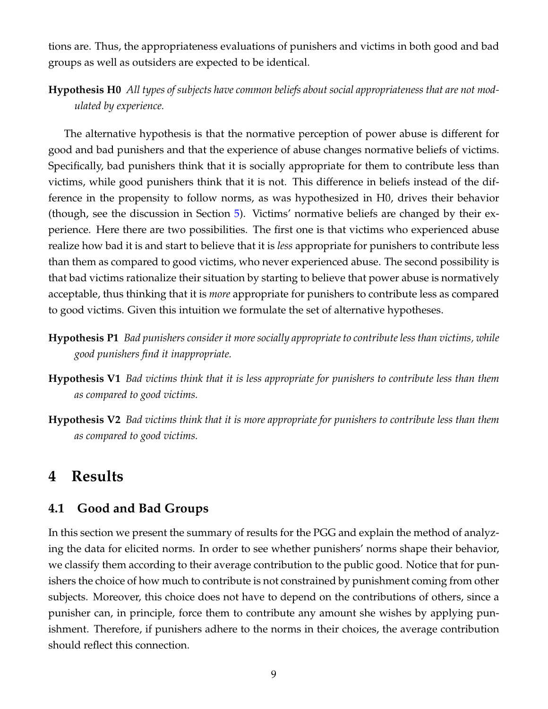tions are. Thus, the appropriateness evaluations of punishers and victims in both good and bad groups as well as outsiders are expected to be identical.

# **Hypothesis H0** *All types of subjects have common beliefs about social appropriateness that are not modulated by experience.*

The alternative hypothesis is that the normative perception of power abuse is different for good and bad punishers and that the experience of abuse changes normative beliefs of victims. Specifically, bad punishers think that it is socially appropriate for them to contribute less than victims, while good punishers think that it is not. This difference in beliefs instead of the difference in the propensity to follow norms, as was hypothesized in H0, drives their behavior (though, see the discussion in Section [5\)](#page-22-0). Victims' normative beliefs are changed by their experience. Here there are two possibilities. The first one is that victims who experienced abuse realize how bad it is and start to believe that it is *less* appropriate for punishers to contribute less than them as compared to good victims, who never experienced abuse. The second possibility is that bad victims rationalize their situation by starting to believe that power abuse is normatively acceptable, thus thinking that it is *more* appropriate for punishers to contribute less as compared to good victims. Given this intuition we formulate the set of alternative hypotheses.

- **Hypothesis P1** *Bad punishers consider it more socially appropriate to contribute less than victims, while good punishers find it inappropriate.*
- **Hypothesis V1** *Bad victims think that it is less appropriate for punishers to contribute less than them as compared to good victims.*
- **Hypothesis V2** *Bad victims think that it is more appropriate for punishers to contribute less than them as compared to good victims.*

# **4 Results**

# **4.1 Good and Bad Groups**

In this section we present the summary of results for the PGG and explain the method of analyzing the data for elicited norms. In order to see whether punishers' norms shape their behavior, we classify them according to their average contribution to the public good. Notice that for punishers the choice of how much to contribute is not constrained by punishment coming from other subjects. Moreover, this choice does not have to depend on the contributions of others, since a punisher can, in principle, force them to contribute any amount she wishes by applying punishment. Therefore, if punishers adhere to the norms in their choices, the average contribution should reflect this connection.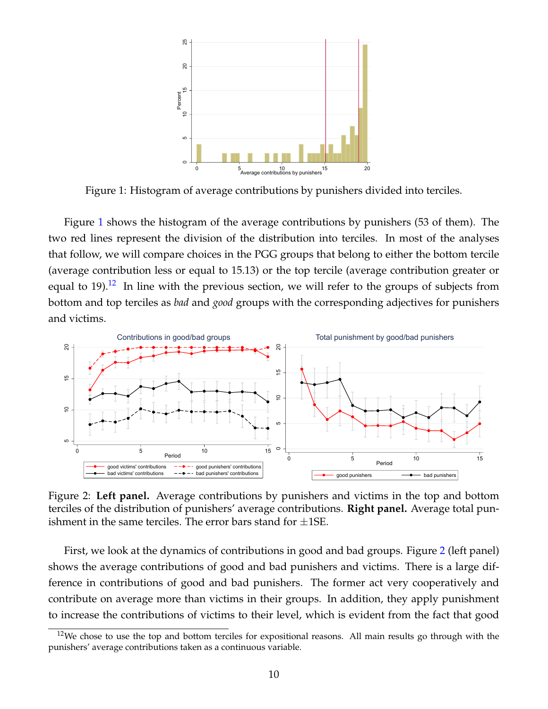

<span id="page-12-0"></span>Figure 1: Histogram of average contributions by punishers divided into terciles.

Figure [1](#page-12-0) shows the histogram of the average contributions by punishers (53 of them). The two red lines represent the division of the distribution into terciles. In most of the analyses that follow, we will compare choices in the PGG groups that belong to either the bottom tercile (average contribution less or equal to 15.13) or the top tercile (average contribution greater or equal to 19).<sup>[12](#page-12-1)</sup> In line with the previous section, we will refer to the groups of subjects from bottom and top terciles as *bad* and *good* groups with the corresponding adjectives for punishers and victims.



<span id="page-12-2"></span>Figure 2: **Left panel.** Average contributions by punishers and victims in the top and bottom terciles of the distribution of punishers' average contributions. **Right panel.** Average total punishment in the same terciles. The error bars stand for  $\pm$ 1SE.

First, we look at the dynamics of contributions in good and bad groups. Figure [2](#page-12-2) (left panel) shows the average contributions of good and bad punishers and victims. There is a large difference in contributions of good and bad punishers. The former act very cooperatively and contribute on average more than victims in their groups. In addition, they apply punishment to increase the contributions of victims to their level, which is evident from the fact that good

<span id="page-12-1"></span> $12$ We chose to use the top and bottom terciles for expositional reasons. All main results go through with the punishers' average contributions taken as a continuous variable.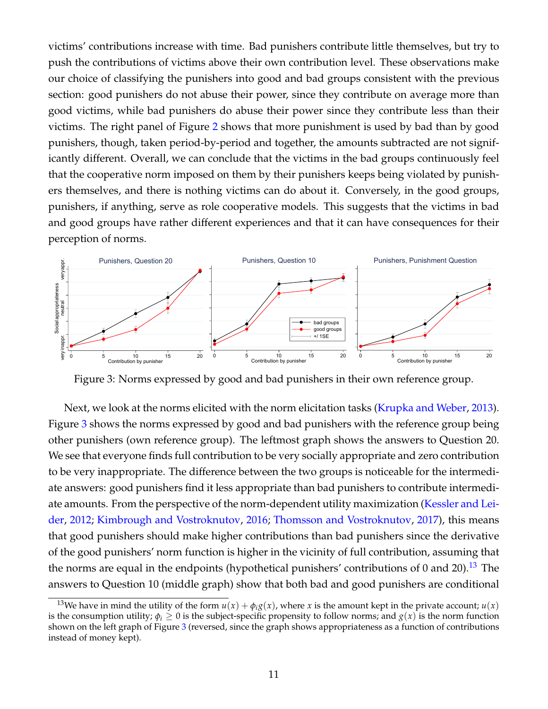victims' contributions increase with time. Bad punishers contribute little themselves, but try to push the contributions of victims above their own contribution level. These observations make our choice of classifying the punishers into good and bad groups consistent with the previous section: good punishers do not abuse their power, since they contribute on average more than good victims, while bad punishers do abuse their power since they contribute less than their victims. The right panel of Figure [2](#page-12-2) shows that more punishment is used by bad than by good punishers, though, taken period-by-period and together, the amounts subtracted are not significantly different. Overall, we can conclude that the victims in the bad groups continuously feel that the cooperative norm imposed on them by their punishers keeps being violated by punishers themselves, and there is nothing victims can do about it. Conversely, in the good groups, punishers, if anything, serve as role cooperative models. This suggests that the victims in bad and good groups have rather different experiences and that it can have consequences for their perception of norms.



<span id="page-13-0"></span>Figure 3: Norms expressed by good and bad punishers in their own reference group.

Next, we look at the norms elicited with the norm elicitation tasks [\(Krupka and Weber,](#page-27-1) [2013\)](#page-27-1). Figure [3](#page-13-0) shows the norms expressed by good and bad punishers with the reference group being other punishers (own reference group). The leftmost graph shows the answers to Question 20. We see that everyone finds full contribution to be very socially appropriate and zero contribution to be very inappropriate. The difference between the two groups is noticeable for the intermediate answers: good punishers find it less appropriate than bad punishers to contribute intermediate amounts. From the perspective of the norm-dependent utility maximization [\(Kessler and Lei](#page-26-12)[der,](#page-26-12) [2012;](#page-26-12) [Kimbrough and Vostroknutov,](#page-26-11) [2016;](#page-26-11) [Thomsson and Vostroknutov,](#page-27-11) [2017\)](#page-27-11), this means that good punishers should make higher contributions than bad punishers since the derivative of the good punishers' norm function is higher in the vicinity of full contribution, assuming that the norms are equal in the endpoints (hypothetical punishers' contributions of 0 and 20).<sup>[13](#page-13-1)</sup> The answers to Question 10 (middle graph) show that both bad and good punishers are conditional

<span id="page-13-1"></span><sup>&</sup>lt;sup>13</sup>We have in mind the utility of the form  $u(x) + \phi_i g(x)$ , where *x* is the amount kept in the private account;  $u(x)$ is the consumption utility;  $\phi_i \geq 0$  is the subject-specific propensity to follow norms; and  $g(x)$  is the norm function shown on the left graph of Figure [3](#page-13-0) (reversed, since the graph shows appropriateness as a function of contributions instead of money kept).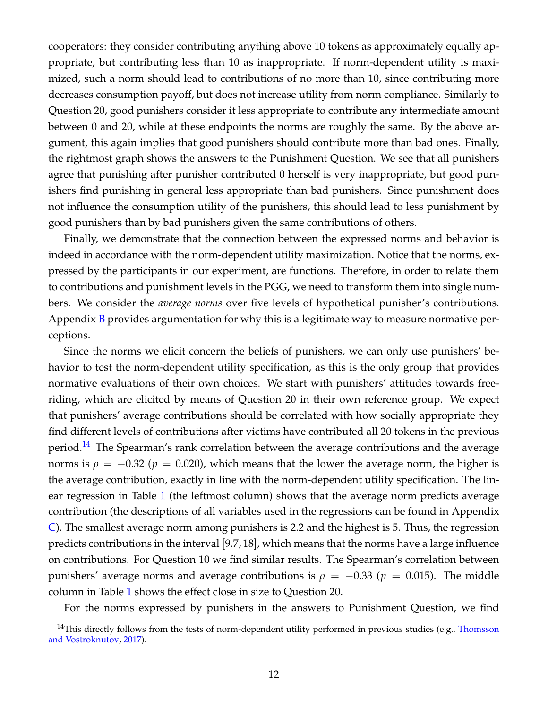cooperators: they consider contributing anything above 10 tokens as approximately equally appropriate, but contributing less than 10 as inappropriate. If norm-dependent utility is maximized, such a norm should lead to contributions of no more than 10, since contributing more decreases consumption payoff, but does not increase utility from norm compliance. Similarly to Question 20, good punishers consider it less appropriate to contribute any intermediate amount between 0 and 20, while at these endpoints the norms are roughly the same. By the above argument, this again implies that good punishers should contribute more than bad ones. Finally, the rightmost graph shows the answers to the Punishment Question. We see that all punishers agree that punishing after punisher contributed 0 herself is very inappropriate, but good punishers find punishing in general less appropriate than bad punishers. Since punishment does not influence the consumption utility of the punishers, this should lead to less punishment by good punishers than by bad punishers given the same contributions of others.

Finally, we demonstrate that the connection between the expressed norms and behavior is indeed in accordance with the norm-dependent utility maximization. Notice that the norms, expressed by the participants in our experiment, are functions. Therefore, in order to relate them to contributions and punishment levels in the PGG, we need to transform them into single numbers. We consider the *average norms* over five levels of hypothetical punisher's contributions. Appendix  $\overline{B}$  $\overline{B}$  $\overline{B}$  provides argumentation for why this is a legitimate way to measure normative perceptions.

Since the norms we elicit concern the beliefs of punishers, we can only use punishers' behavior to test the norm-dependent utility specification, as this is the only group that provides normative evaluations of their own choices. We start with punishers' attitudes towards freeriding, which are elicited by means of Question 20 in their own reference group. We expect that punishers' average contributions should be correlated with how socially appropriate they find different levels of contributions after victims have contributed all 20 tokens in the previous period.<sup>[14](#page-14-0)</sup> The Spearman's rank correlation between the average contributions and the average norms is  $\rho = -0.32$  ( $p = 0.020$ ), which means that the lower the average norm, the higher is the average contribution, exactly in line with the norm-dependent utility specification. The linear regression in Table [1](#page-15-0) (the leftmost column) shows that the average norm predicts average contribution (the descriptions of all variables used in the regressions can be found in Appendix [C\)](#page-32-0). The smallest average norm among punishers is 2.2 and the highest is 5. Thus, the regression predicts contributions in the interval [9.7, 18], which means that the norms have a large influence on contributions. For Question 10 we find similar results. The Spearman's correlation between punishers' average norms and average contributions is  $ρ = −0.33 (p = 0.015)$ . The middle column in Table [1](#page-15-0) shows the effect close in size to Question 20.

For the norms expressed by punishers in the answers to Punishment Question, we find

<span id="page-14-0"></span> $14$ This directly follows from the tests of norm-dependent utility performed in previous studies (e.g., [Thomsson](#page-27-11) [and Vostroknutov,](#page-27-11) [2017\)](#page-27-11).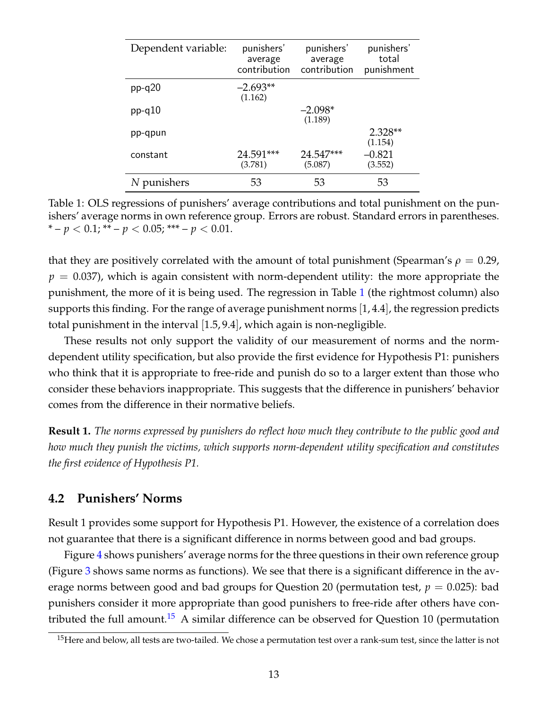| Dependent variable: | punishers'<br>average<br>contribution | punishers'<br>average<br>contribution | punishers'<br>total<br>punishment |
|---------------------|---------------------------------------|---------------------------------------|-----------------------------------|
| $pp-q20$            | $-2.693**$<br>(1.162)                 |                                       |                                   |
| $pp-q10$            |                                       | $-2.098*$<br>(1.189)                  |                                   |
| pp-qpun             |                                       |                                       | 2.328**<br>(1.154)                |
| constant            | 24.591***<br>(3.781)                  | 24.547***<br>(5.087)                  | $-0.821$<br>(3.552)               |
| N punishers         | 53                                    | 53                                    | 53                                |

<span id="page-15-0"></span>Table 1: OLS regressions of punishers' average contributions and total punishment on the punishers' average norms in own reference group. Errors are robust. Standard errors in parentheses. \* –  $p < 0.1$ ; \*\* –  $p < 0.05$ ; \*\*\* –  $p < 0.01$ .

that they are positively correlated with the amount of total punishment (Spearman's  $\rho = 0.29$ ,  $p = 0.037$ , which is again consistent with norm-dependent utility: the more appropriate the punishment, the more of it is being used. The regression in Table [1](#page-15-0) (the rightmost column) also supports this finding. For the range of average punishment norms [1, 4.4], the regression predicts total punishment in the interval [1.5, 9.4], which again is non-negligible.

These results not only support the validity of our measurement of norms and the normdependent utility specification, but also provide the first evidence for Hypothesis P1: punishers who think that it is appropriate to free-ride and punish do so to a larger extent than those who consider these behaviors inappropriate. This suggests that the difference in punishers' behavior comes from the difference in their normative beliefs.

**Result 1.** *The norms expressed by punishers do reflect how much they contribute to the public good and how much they punish the victims, which supports norm-dependent utility specification and constitutes the first evidence of Hypothesis P1.*

## **4.2 Punishers' Norms**

Result 1 provides some support for Hypothesis P1. However, the existence of a correlation does not guarantee that there is a significant difference in norms between good and bad groups.

Figure [4](#page-16-0) shows punishers' average norms for the three questions in their own reference group (Figure [3](#page-13-0) shows same norms as functions). We see that there is a significant difference in the average norms between good and bad groups for Question 20 (permutation test,  $p = 0.025$ ): bad punishers consider it more appropriate than good punishers to free-ride after others have con-tributed the full amount.<sup>[15](#page-15-1)</sup> A similar difference can be observed for Question 10 (permutation

<span id="page-15-1"></span><sup>&</sup>lt;sup>15</sup>Here and below, all tests are two-tailed. We chose a permutation test over a rank-sum test, since the latter is not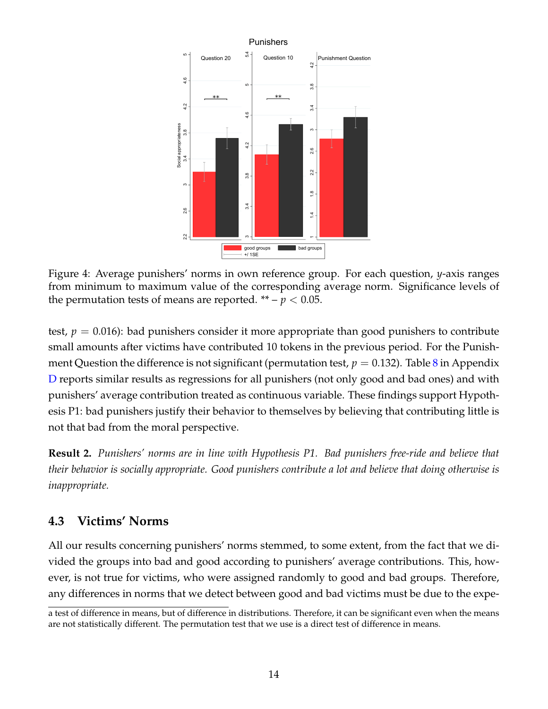

<span id="page-16-0"></span>Figure 4: Average punishers' norms in own reference group. For each question, *y*-axis ranges from minimum to maximum value of the corresponding average norm. Significance levels of the permutation tests of means are reported.  $** - p < 0.05$ .

test,  $p = 0.016$ : bad punishers consider it more appropriate than good punishers to contribute small amounts after victims have contributed 10 tokens in the previous period. For the Punishment Question the difference is not significant (permutation test,  $p = 0.132$ ). Table [8](#page-33-0) in Appendix [D](#page-33-1) reports similar results as regressions for all punishers (not only good and bad ones) and with punishers' average contribution treated as continuous variable. These findings support Hypothesis P1: bad punishers justify their behavior to themselves by believing that contributing little is not that bad from the moral perspective.

**Result 2.** *Punishers' norms are in line with Hypothesis P1. Bad punishers free-ride and believe that their behavior is socially appropriate. Good punishers contribute a lot and believe that doing otherwise is inappropriate.*

# **4.3 Victims' Norms**

All our results concerning punishers' norms stemmed, to some extent, from the fact that we divided the groups into bad and good according to punishers' average contributions. This, however, is not true for victims, who were assigned randomly to good and bad groups. Therefore, any differences in norms that we detect between good and bad victims must be due to the expe-

a test of difference in means, but of difference in distributions. Therefore, it can be significant even when the means are not statistically different. The permutation test that we use is a direct test of difference in means.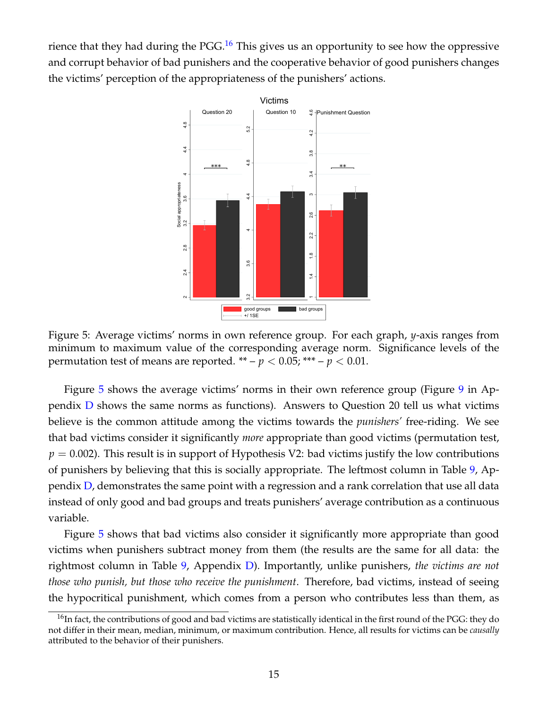rience that they had during the PGG.<sup>[16](#page-17-0)</sup> This gives us an opportunity to see how the oppressive and corrupt behavior of bad punishers and the cooperative behavior of good punishers changes the victims' perception of the appropriateness of the punishers' actions.



<span id="page-17-1"></span>Figure 5: Average victims' norms in own reference group. For each graph, *y*-axis ranges from minimum to maximum value of the corresponding average norm. Significance levels of the permutation test of means are reported.  $** - p < 0.05$ ; \*\*\*  $-p < 0.01$ .

Figure [5](#page-17-1) shows the average victims' norms in their own reference group (Figure [9](#page-33-2) in Appendix [D](#page-33-1) shows the same norms as functions). Answers to Question 20 tell us what victims believe is the common attitude among the victims towards the *punishers'* free-riding. We see that bad victims consider it significantly *more* appropriate than good victims (permutation test,  $p = 0.002$ ). This result is in support of Hypothesis V2: bad victims justify the low contributions of punishers by believing that this is socially appropriate. The leftmost column in Table [9,](#page-33-3) Appendix [D,](#page-33-1) demonstrates the same point with a regression and a rank correlation that use all data instead of only good and bad groups and treats punishers' average contribution as a continuous variable.

Figure [5](#page-17-1) shows that bad victims also consider it significantly more appropriate than good victims when punishers subtract money from them (the results are the same for all data: the rightmost column in Table [9,](#page-33-3) Appendix [D\)](#page-33-1). Importantly, unlike punishers, *the victims are not those who punish, but those who receive the punishment*. Therefore, bad victims, instead of seeing the hypocritical punishment, which comes from a person who contributes less than them, as

<span id="page-17-0"></span> $16$ In fact, the contributions of good and bad victims are statistically identical in the first round of the PGG: they do not differ in their mean, median, minimum, or maximum contribution. Hence, all results for victims can be *causally* attributed to the behavior of their punishers.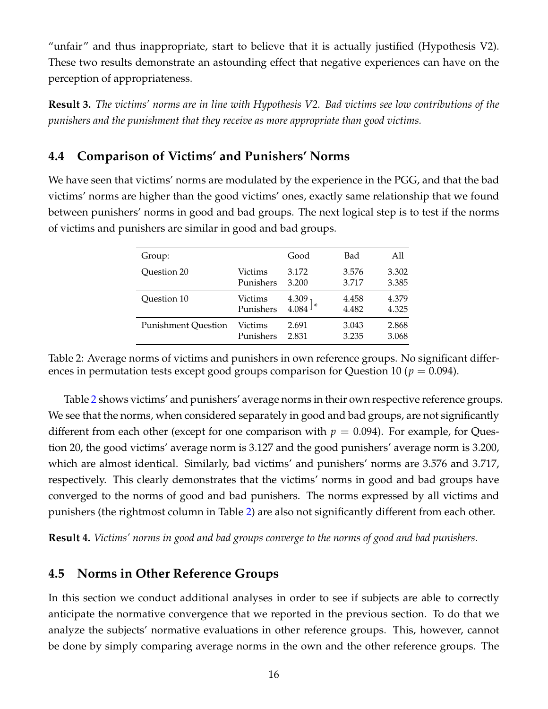"unfair" and thus inappropriate, start to believe that it is actually justified (Hypothesis V2). These two results demonstrate an astounding effect that negative experiences can have on the perception of appropriateness.

**Result 3.** *The victims' norms are in line with Hypothesis V2. Bad victims see low contributions of the punishers and the punishment that they receive as more appropriate than good victims.*

# **4.4 Comparison of Victims' and Punishers' Norms**

We have seen that victims' norms are modulated by the experience in the PGG, and that the bad victims' norms are higher than the good victims' ones, exactly same relationship that we found between punishers' norms in good and bad groups. The next logical step is to test if the norms of victims and punishers are similar in good and bad groups.

| Group:                     |           | Good  | Bad   | All   |
|----------------------------|-----------|-------|-------|-------|
| Question 20                | Victims   | 3.172 | 3.576 | 3.302 |
|                            | Punishers | 3.200 | 3.717 | 3.385 |
| Question 10                | Victims   | 4.309 | 4.458 | 4.379 |
|                            | Punishers | 4.084 | 4.482 | 4.325 |
| <b>Punishment Ouestion</b> | Victims   | 2.691 | 3.043 | 2.868 |
|                            | Punishers | 2.831 | 3.235 | 3.068 |
|                            |           |       |       |       |

<span id="page-18-0"></span>Table 2: Average norms of victims and punishers in own reference groups. No significant differences in permutation tests except good groups comparison for Question 10 ( $p = 0.094$ ).

Table [2](#page-18-0) shows victims' and punishers' average norms in their own respective reference groups. We see that the norms, when considered separately in good and bad groups, are not significantly different from each other (except for one comparison with  $p = 0.094$ ). For example, for Question 20, the good victims' average norm is 3.127 and the good punishers' average norm is 3.200, which are almost identical. Similarly, bad victims' and punishers' norms are 3.576 and 3.717, respectively. This clearly demonstrates that the victims' norms in good and bad groups have converged to the norms of good and bad punishers. The norms expressed by all victims and punishers (the rightmost column in Table [2\)](#page-18-0) are also not significantly different from each other.

**Result 4.** *Victims' norms in good and bad groups converge to the norms of good and bad punishers.*

# **4.5 Norms in Other Reference Groups**

In this section we conduct additional analyses in order to see if subjects are able to correctly anticipate the normative convergence that we reported in the previous section. To do that we analyze the subjects' normative evaluations in other reference groups. This, however, cannot be done by simply comparing average norms in the own and the other reference groups. The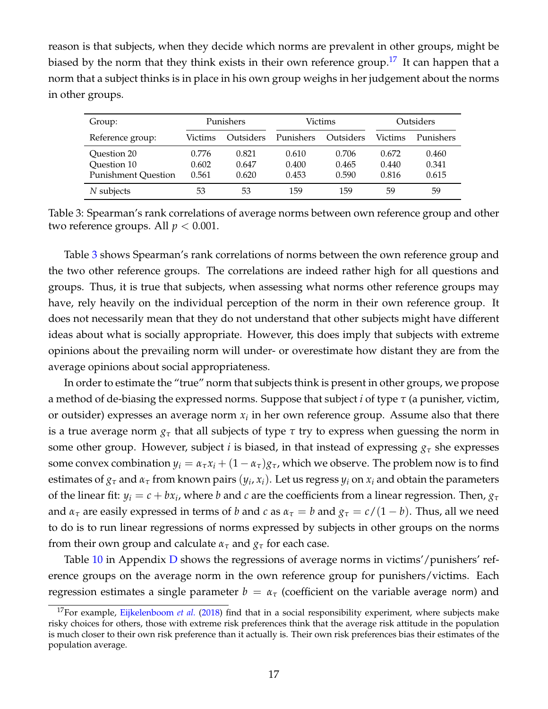reason is that subjects, when they decide which norms are prevalent in other groups, might be biased by the norm that they think exists in their own reference group.<sup>[17](#page-19-0)</sup> It can happen that a norm that a subject thinks is in place in his own group weighs in her judgement about the norms in other groups.

| Group:                     |         | Punishers |           | Victims   |         | Outsiders |  |
|----------------------------|---------|-----------|-----------|-----------|---------|-----------|--|
| Reference group:           | Victims | Outsiders | Punishers | Outsiders | Victims | Punishers |  |
| Question 20                | 0.776   | 0.821     | 0.610     | 0.706     | 0.672   | 0.460     |  |
| Question 10                | 0.602   | 0.647     | 0.400     | 0.465     | 0.440   | 0.341     |  |
| <b>Punishment Question</b> | 0.561   | 0.620     | 0.453     | 0.590     | 0.816   | 0.615     |  |
| $N$ subjects               | 53      | 53        | 159       | 159       | 59      | 59        |  |

<span id="page-19-1"></span>Table 3: Spearman's rank correlations of average norms between own reference group and other two reference groups. All  $p < 0.001$ .

Table [3](#page-19-1) shows Spearman's rank correlations of norms between the own reference group and the two other reference groups. The correlations are indeed rather high for all questions and groups. Thus, it is true that subjects, when assessing what norms other reference groups may have, rely heavily on the individual perception of the norm in their own reference group. It does not necessarily mean that they do not understand that other subjects might have different ideas about what is socially appropriate. However, this does imply that subjects with extreme opinions about the prevailing norm will under- or overestimate how distant they are from the average opinions about social appropriateness.

In order to estimate the "true" norm that subjects think is present in other groups, we propose a method of de-biasing the expressed norms. Suppose that subject *i* of type *τ* (a punisher, victim, or outsider) expresses an average norm  $x_i$  in her own reference group. Assume also that there is a true average norm  $g<sub>\tau</sub>$  that all subjects of type  $\tau$  try to express when guessing the norm in some other group. However, subject *i* is biased, in that instead of expressing  $g<sub>\tau</sub>$  she expresses some convex combination  $y_i = \alpha_\tau x_i + (1 - \alpha_\tau)g_\tau$ , which we observe. The problem now is to find estimates of  $g_\tau$  and  $\alpha_\tau$  from known pairs  $(y_i, x_i)$ . Let us regress  $y_i$  on  $x_i$  and obtain the parameters of the linear fit:  $y_i = c + bx_i$ , where *b* and *c* are the coefficients from a linear regression. Then,  $g_{\tau}$ and  $\alpha_{\tau}$  are easily expressed in terms of *b* and *c* as  $\alpha_{\tau} = b$  and  $g_{\tau} = c/(1-b)$ . Thus, all we need to do is to run linear regressions of norms expressed by subjects in other groups on the norms from their own group and calculate  $\alpha_{\tau}$  and  $g_{\tau}$  for each case.

Table [10](#page-34-0) in Appendix [D](#page-33-1) shows the regressions of average norms in victims'/punishers' reference groups on the average norm in the own reference group for punishers/victims. Each regression estimates a single parameter  $b = \alpha_{\tau}$  (coefficient on the variable average norm) and

<span id="page-19-0"></span><sup>&</sup>lt;sup>17</sup>For example, [Eijkelenboom](#page-25-10) *et al.* [\(2018\)](#page-25-10) find that in a social responsibility experiment, where subjects make risky choices for others, those with extreme risk preferences think that the average risk attitude in the population is much closer to their own risk preference than it actually is. Their own risk preferences bias their estimates of the population average.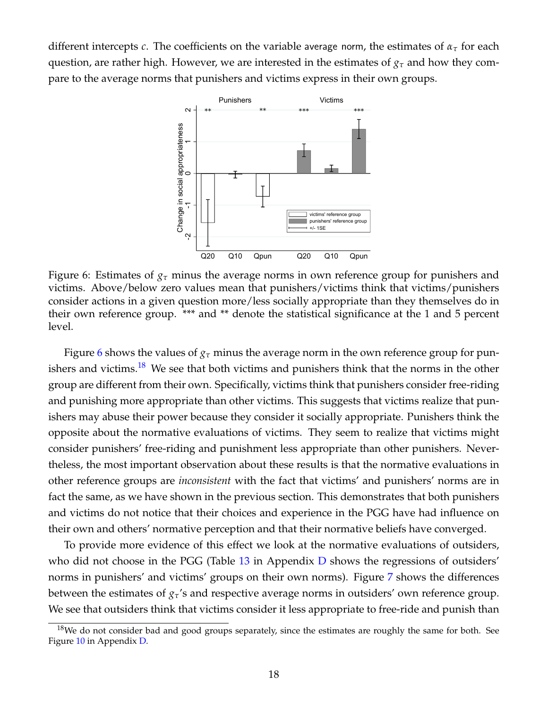different intercepts *c*. The coefficients on the variable average norm, the estimates of *α<sup>τ</sup>* for each question, are rather high. However, we are interested in the estimates of *g<sup>τ</sup>* and how they compare to the average norms that punishers and victims express in their own groups.



<span id="page-20-0"></span>Figure 6: Estimates of  $g<sub>\tau</sub>$  minus the average norms in own reference group for punishers and victims. Above/below zero values mean that punishers/victims think that victims/punishers consider actions in a given question more/less socially appropriate than they themselves do in their own reference group. \*\*\* and \*\* denote the statistical significance at the 1 and 5 percent level.

Figure [6](#page-20-0) shows the values of  $g<sub>\tau</sub>$  minus the average norm in the own reference group for pun-ishers and victims.<sup>[18](#page-20-1)</sup> We see that both victims and punishers think that the norms in the other group are different from their own. Specifically, victims think that punishers consider free-riding and punishing more appropriate than other victims. This suggests that victims realize that punishers may abuse their power because they consider it socially appropriate. Punishers think the opposite about the normative evaluations of victims. They seem to realize that victims might consider punishers' free-riding and punishment less appropriate than other punishers. Nevertheless, the most important observation about these results is that the normative evaluations in other reference groups are *inconsistent* with the fact that victims' and punishers' norms are in fact the same, as we have shown in the previous section. This demonstrates that both punishers and victims do not notice that their choices and experience in the PGG have had influence on their own and others' normative perception and that their normative beliefs have converged.

To provide more evidence of this effect we look at the normative evaluations of outsiders, who did not choose in the PGG (Table [13](#page-36-0) in Appendix [D](#page-33-1) shows the regressions of outsiders' norms in punishers' and victims' groups on their own norms). Figure [7](#page-21-0) shows the differences between the estimates of *gτ*'s and respective average norms in outsiders' own reference group. We see that outsiders think that victims consider it less appropriate to free-ride and punish than

<span id="page-20-1"></span> $18$ We do not consider bad and good groups separately, since the estimates are roughly the same for both. See Figure [10](#page-35-0) in Appendix [D.](#page-33-1)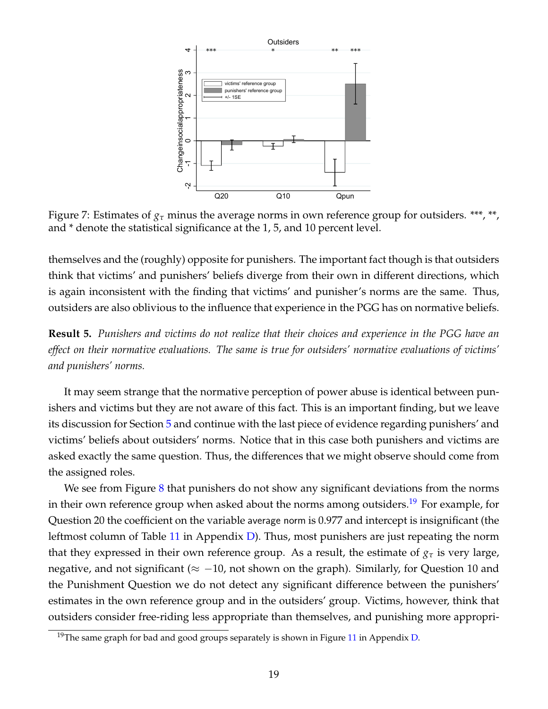

<span id="page-21-0"></span>Figure 7: Estimates of *g<sup>τ</sup>* minus the average norms in own reference group for outsiders. \*\*\*, \*\*, and \* denote the statistical significance at the 1, 5, and 10 percent level.

themselves and the (roughly) opposite for punishers. The important fact though is that outsiders think that victims' and punishers' beliefs diverge from their own in different directions, which is again inconsistent with the finding that victims' and punisher's norms are the same. Thus, outsiders are also oblivious to the influence that experience in the PGG has on normative beliefs.

**Result 5.** *Punishers and victims do not realize that their choices and experience in the PGG have an effect on their normative evaluations. The same is true for outsiders' normative evaluations of victims' and punishers' norms.*

It may seem strange that the normative perception of power abuse is identical between punishers and victims but they are not aware of this fact. This is an important finding, but we leave its discussion for Section [5](#page-22-0) and continue with the last piece of evidence regarding punishers' and victims' beliefs about outsiders' norms. Notice that in this case both punishers and victims are asked exactly the same question. Thus, the differences that we might observe should come from the assigned roles.

We see from Figure [8](#page-22-1) that punishers do not show any significant deviations from the norms in their own reference group when asked about the norms among outsiders.<sup>[19](#page-21-1)</sup> For example, for Question 20 the coefficient on the variable average norm is 0.977 and intercept is insignificant (the leftmost column of Table [11](#page-34-1) in Appendix [D\)](#page-33-1). Thus, most punishers are just repeating the norm that they expressed in their own reference group. As a result, the estimate of  $g<sub>\tau</sub>$  is very large, negative, and not significant ( $\approx -10$ , not shown on the graph). Similarly, for Question 10 and the Punishment Question we do not detect any significant difference between the punishers' estimates in the own reference group and in the outsiders' group. Victims, however, think that outsiders consider free-riding less appropriate than themselves, and punishing more appropri-

<span id="page-21-1"></span><sup>&</sup>lt;sup>19</sup>The same graph for bad and good groups separately is shown in Figure [11](#page-37-0) in Appendix [D.](#page-33-1)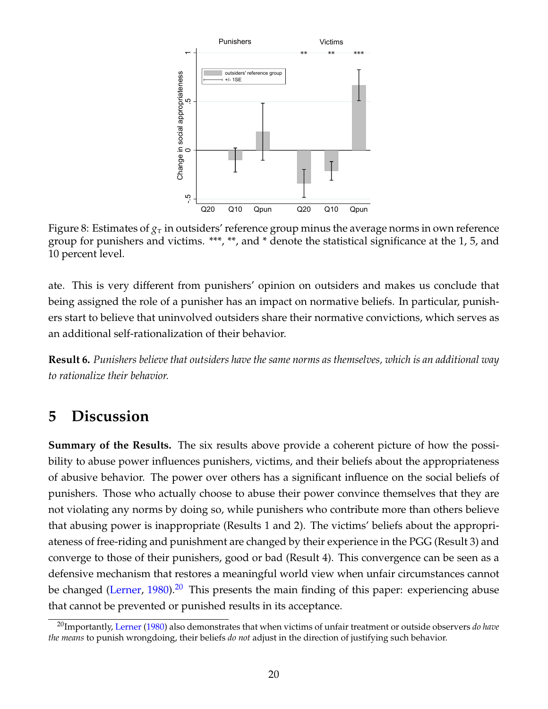

<span id="page-22-1"></span>Figure 8: Estimates of  $g<sub>\tau</sub>$  in outsiders' reference group minus the average norms in own reference group for punishers and victims. \*\*\*, \*\*, and \* denote the statistical significance at the 1, 5, and 10 percent level.

ate. This is very different from punishers' opinion on outsiders and makes us conclude that being assigned the role of a punisher has an impact on normative beliefs. In particular, punishers start to believe that uninvolved outsiders share their normative convictions, which serves as an additional self-rationalization of their behavior.

**Result 6.** *Punishers believe that outsiders have the same norms as themselves, which is an additional way to rationalize their behavior.*

# <span id="page-22-0"></span>**5 Discussion**

**Summary of the Results.** The six results above provide a coherent picture of how the possibility to abuse power influences punishers, victims, and their beliefs about the appropriateness of abusive behavior. The power over others has a significant influence on the social beliefs of punishers. Those who actually choose to abuse their power convince themselves that they are not violating any norms by doing so, while punishers who contribute more than others believe that abusing power is inappropriate (Results 1 and 2). The victims' beliefs about the appropriateness of free-riding and punishment are changed by their experience in the PGG (Result 3) and converge to those of their punishers, good or bad (Result 4). This convergence can be seen as a defensive mechanism that restores a meaningful world view when unfair circumstances cannot be changed [\(Lerner,](#page-27-9)  $1980$ ).<sup>[20](#page-22-2)</sup> This presents the main finding of this paper: experiencing abuse that cannot be prevented or punished results in its acceptance.

<span id="page-22-2"></span><sup>20</sup>Importantly, [Lerner](#page-27-9) [\(1980\)](#page-27-9) also demonstrates that when victims of unfair treatment or outside observers *do have the means* to punish wrongdoing, their beliefs *do not* adjust in the direction of justifying such behavior.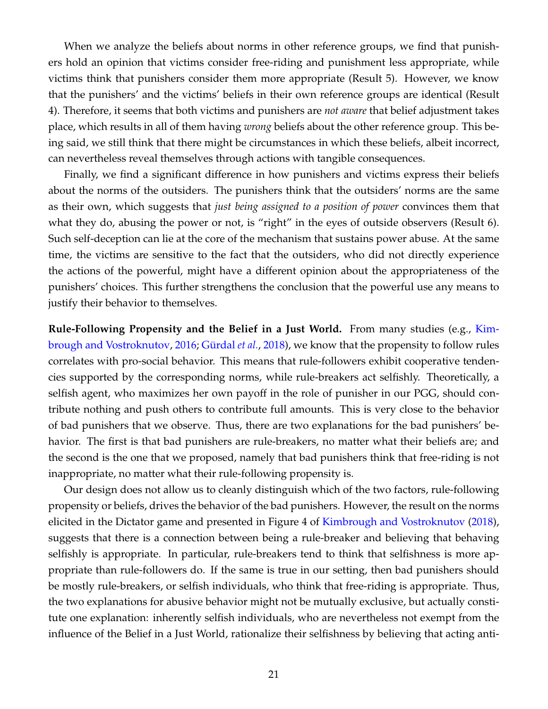When we analyze the beliefs about norms in other reference groups, we find that punishers hold an opinion that victims consider free-riding and punishment less appropriate, while victims think that punishers consider them more appropriate (Result 5). However, we know that the punishers' and the victims' beliefs in their own reference groups are identical (Result 4). Therefore, it seems that both victims and punishers are *not aware* that belief adjustment takes place, which results in all of them having *wrong* beliefs about the other reference group. This being said, we still think that there might be circumstances in which these beliefs, albeit incorrect, can nevertheless reveal themselves through actions with tangible consequences.

Finally, we find a significant difference in how punishers and victims express their beliefs about the norms of the outsiders. The punishers think that the outsiders' norms are the same as their own, which suggests that *just being assigned to a position of power* convinces them that what they do, abusing the power or not, is "right" in the eyes of outside observers (Result 6). Such self-deception can lie at the core of the mechanism that sustains power abuse. At the same time, the victims are sensitive to the fact that the outsiders, who did not directly experience the actions of the powerful, might have a different opinion about the appropriateness of the punishers' choices. This further strengthens the conclusion that the powerful use any means to justify their behavior to themselves.

**Rule-Following Propensity and the Belief in a Just World.** From many studies (e.g., [Kim](#page-26-11)[brough and Vostroknutov,](#page-26-11) [2016;](#page-26-11) Gürdal *et al.*, [2018\)](#page-26-13), we know that the propensity to follow rules correlates with pro-social behavior. This means that rule-followers exhibit cooperative tendencies supported by the corresponding norms, while rule-breakers act selfishly. Theoretically, a selfish agent, who maximizes her own payoff in the role of punisher in our PGG, should contribute nothing and push others to contribute full amounts. This is very close to the behavior of bad punishers that we observe. Thus, there are two explanations for the bad punishers' behavior. The first is that bad punishers are rule-breakers, no matter what their beliefs are; and the second is the one that we proposed, namely that bad punishers think that free-riding is not inappropriate, no matter what their rule-following propensity is.

Our design does not allow us to cleanly distinguish which of the two factors, rule-following propensity or beliefs, drives the behavior of the bad punishers. However, the result on the norms elicited in the Dictator game and presented in Figure 4 of [Kimbrough and Vostroknutov](#page-26-14) [\(2018\)](#page-26-14), suggests that there is a connection between being a rule-breaker and believing that behaving selfishly is appropriate. In particular, rule-breakers tend to think that selfishness is more appropriate than rule-followers do. If the same is true in our setting, then bad punishers should be mostly rule-breakers, or selfish individuals, who think that free-riding is appropriate. Thus, the two explanations for abusive behavior might not be mutually exclusive, but actually constitute one explanation: inherently selfish individuals, who are nevertheless not exempt from the influence of the Belief in a Just World, rationalize their selfishness by believing that acting anti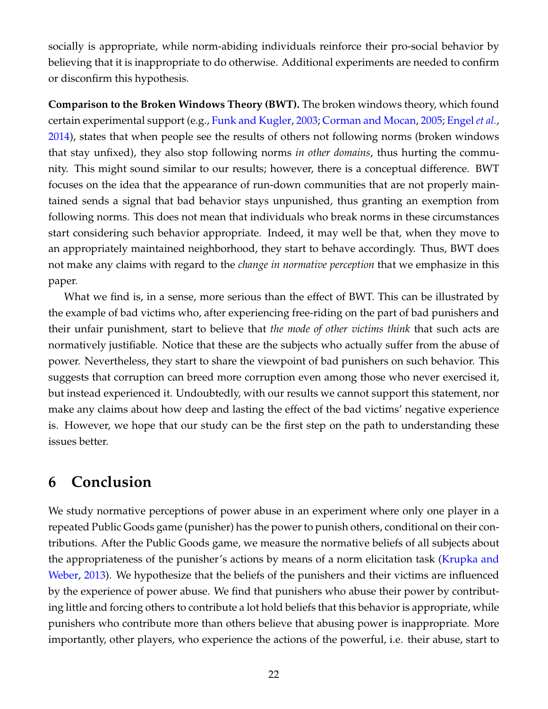socially is appropriate, while norm-abiding individuals reinforce their pro-social behavior by believing that it is inappropriate to do otherwise. Additional experiments are needed to confirm or disconfirm this hypothesis.

**Comparison to the Broken Windows Theory (BWT).** The broken windows theory, which found certain experimental support (e.g., [Funk and Kugler,](#page-26-15) [2003;](#page-26-15) [Corman and Mocan,](#page-25-11) [2005;](#page-25-11) [Engel](#page-25-12) *et al.*, [2014\)](#page-25-12), states that when people see the results of others not following norms (broken windows that stay unfixed), they also stop following norms *in other domains*, thus hurting the community. This might sound similar to our results; however, there is a conceptual difference. BWT focuses on the idea that the appearance of run-down communities that are not properly maintained sends a signal that bad behavior stays unpunished, thus granting an exemption from following norms. This does not mean that individuals who break norms in these circumstances start considering such behavior appropriate. Indeed, it may well be that, when they move to an appropriately maintained neighborhood, they start to behave accordingly. Thus, BWT does not make any claims with regard to the *change in normative perception* that we emphasize in this paper.

What we find is, in a sense, more serious than the effect of BWT. This can be illustrated by the example of bad victims who, after experiencing free-riding on the part of bad punishers and their unfair punishment, start to believe that *the mode of other victims think* that such acts are normatively justifiable. Notice that these are the subjects who actually suffer from the abuse of power. Nevertheless, they start to share the viewpoint of bad punishers on such behavior. This suggests that corruption can breed more corruption even among those who never exercised it, but instead experienced it. Undoubtedly, with our results we cannot support this statement, nor make any claims about how deep and lasting the effect of the bad victims' negative experience is. However, we hope that our study can be the first step on the path to understanding these issues better.

# **6 Conclusion**

We study normative perceptions of power abuse in an experiment where only one player in a repeated Public Goods game (punisher) has the power to punish others, conditional on their contributions. After the Public Goods game, we measure the normative beliefs of all subjects about the appropriateness of the punisher's actions by means of a norm elicitation task [\(Krupka and](#page-27-1) [Weber,](#page-27-1) [2013\)](#page-27-1). We hypothesize that the beliefs of the punishers and their victims are influenced by the experience of power abuse. We find that punishers who abuse their power by contributing little and forcing others to contribute a lot hold beliefs that this behavior is appropriate, while punishers who contribute more than others believe that abusing power is inappropriate. More importantly, other players, who experience the actions of the powerful, i.e. their abuse, start to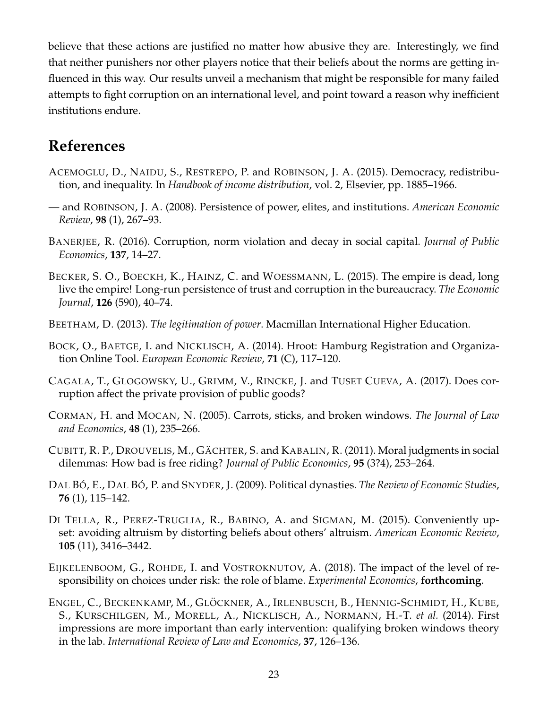believe that these actions are justified no matter how abusive they are. Interestingly, we find that neither punishers nor other players notice that their beliefs about the norms are getting influenced in this way. Our results unveil a mechanism that might be responsible for many failed attempts to fight corruption on an international level, and point toward a reason why inefficient institutions endure.

# **References**

- <span id="page-25-1"></span>ACEMOGLU, D., NAIDU, S., RESTREPO, P. and ROBINSON, J. A. (2015). Democracy, redistribution, and inequality. In *Handbook of income distribution*, vol. 2, Elsevier, pp. 1885–1966.
- <span id="page-25-2"></span>— and ROBINSON, J. A. (2008). Persistence of power, elites, and institutions. *American Economic Review*, **98** (1), 267–93.
- <span id="page-25-6"></span>BANERJEE, R. (2016). Corruption, norm violation and decay in social capital. *Journal of Public Economics*, **137**, 14–27.
- <span id="page-25-7"></span>BECKER, S. O., BOECKH, K., HAINZ, C. and WOESSMANN, L. (2015). The empire is dead, long live the empire! Long-run persistence of trust and corruption in the bureaucracy. *The Economic Journal*, **126** (590), 40–74.
- <span id="page-25-4"></span>BEETHAM, D. (2013). *The legitimation of power*. Macmillan International Higher Education.
- <span id="page-25-9"></span>BOCK, O., BAETGE, I. and NICKLISCH, A. (2014). Hroot: Hamburg Registration and Organization Online Tool. *European Economic Review*, **71** (C), 117–120.
- <span id="page-25-8"></span>CAGALA, T., GLOGOWSKY, U., GRIMM, V., RINCKE, J. and TUSET CUEVA, A. (2017). Does corruption affect the private provision of public goods?
- <span id="page-25-11"></span>CORMAN, H. and MOCAN, N. (2005). Carrots, sticks, and broken windows. *The Journal of Law and Economics*, **48** (1), 235–266.
- <span id="page-25-0"></span>CUBITT, R. P., DROUVELIS, M., GÄCHTER, S. and KABALIN, R. (2011). Moral judgments in social dilemmas: How bad is free riding? *Journal of Public Economics*, **95** (3?4), 253–264.
- <span id="page-25-3"></span>DAL BÓ, E., DAL BÓ, P. and SNYDER, J. (2009). Political dynasties. *The Review of Economic Studies*, **76** (1), 115–142.
- <span id="page-25-5"></span>DI TELLA, R., PEREZ-TRUGLIA, R., BABINO, A. and SIGMAN, M. (2015). Conveniently upset: avoiding altruism by distorting beliefs about others' altruism. *American Economic Review*, **105** (11), 3416–3442.
- <span id="page-25-10"></span>EIJKELENBOOM, G., ROHDE, I. and VOSTROKNUTOV, A. (2018). The impact of the level of responsibility on choices under risk: the role of blame. *Experimental Economics*, **forthcoming**.
- <span id="page-25-12"></span>ENGEL, C., BECKENKAMP, M., GLÖCKNER, A., IRLENBUSCH, B., HENNIG-SCHMIDT, H., KUBE, S., KURSCHILGEN, M., MORELL, A., NICKLISCH, A., NORMANN, H.-T. *et al.* (2014). First impressions are more important than early intervention: qualifying broken windows theory in the lab. *International Review of Law and Economics*, **37**, 126–136.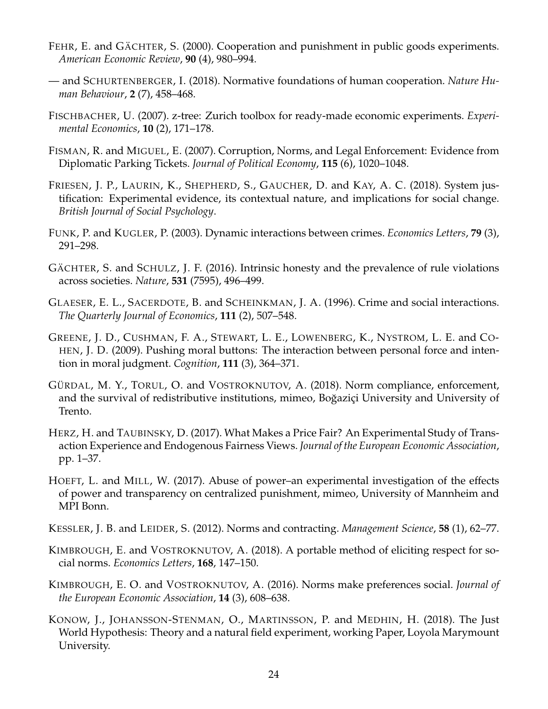- <span id="page-26-7"></span>FEHR, E. and GÄCHTER, S. (2000). Cooperation and punishment in public goods experiments. *American Economic Review*, **90** (4), 980–994.
- <span id="page-26-0"></span>— and SCHURTENBERGER, I. (2018). Normative foundations of human cooperation. *Nature Human Behaviour*, **2** (7), 458–468.
- <span id="page-26-10"></span>FISCHBACHER, U. (2007). z-tree: Zurich toolbox for ready-made economic experiments. *Experimental Economics*, **10** (2), 171–178.
- <span id="page-26-5"></span>FISMAN, R. and MIGUEL, E. (2007). Corruption, Norms, and Legal Enforcement: Evidence from Diplomatic Parking Tickets. *Journal of Political Economy*, **115** (6), 1020–1048.
- <span id="page-26-8"></span>FRIESEN, J. P., LAURIN, K., SHEPHERD, S., GAUCHER, D. and KAY, A. C. (2018). System justification: Experimental evidence, its contextual nature, and implications for social change. *British Journal of Social Psychology*.
- <span id="page-26-15"></span>FUNK, P. and KUGLER, P. (2003). Dynamic interactions between crimes. *Economics Letters*, **79** (3), 291–298.
- <span id="page-26-3"></span>GÄCHTER, S. and SCHULZ, J. F. (2016). Intrinsic honesty and the prevalence of rule violations across societies. *Nature*, **531** (7595), 496–499.
- <span id="page-26-4"></span>GLAESER, E. L., SACERDOTE, B. and SCHEINKMAN, J. A. (1996). Crime and social interactions. *The Quarterly Journal of Economics*, **111** (2), 507–548.
- <span id="page-26-1"></span>GREENE, J. D., CUSHMAN, F. A., STEWART, L. E., LOWENBERG, K., NYSTROM, L. E. and CO-HEN, J. D. (2009). Pushing moral buttons: The interaction between personal force and intention in moral judgment. *Cognition*, **111** (3), 364–371.
- <span id="page-26-13"></span>GÜRDAL, M. Y., TORUL, O. and VOSTROKNUTOV, A. (2018). Norm compliance, enforcement, and the survival of redistributive institutions, mimeo, Boğaziçi University and University of Trento.
- <span id="page-26-2"></span>HERZ, H. and TAUBINSKY, D. (2017). What Makes a Price Fair? An Experimental Study of Transaction Experience and Endogenous Fairness Views. *Journal of the European Economic Association*, pp. 1–37.
- <span id="page-26-6"></span>HOEFT, L. and MILL, W. (2017). Abuse of power–an experimental investigation of the effects of power and transparency on centralized punishment, mimeo, University of Mannheim and MPI Bonn.
- <span id="page-26-12"></span>KESSLER, J. B. and LEIDER, S. (2012). Norms and contracting. *Management Science*, **58** (1), 62–77.
- <span id="page-26-14"></span>KIMBROUGH, E. and VOSTROKNUTOV, A. (2018). A portable method of eliciting respect for social norms. *Economics Letters*, **168**, 147–150.
- <span id="page-26-11"></span>KIMBROUGH, E. O. and VOSTROKNUTOV, A. (2016). Norms make preferences social. *Journal of the European Economic Association*, **14** (3), 608–638.
- <span id="page-26-9"></span>KONOW, J., JOHANSSON-STENMAN, O., MARTINSSON, P. and MEDHIN, H. (2018). The Just World Hypothesis: Theory and a natural field experiment, working Paper, Loyola Marymount University.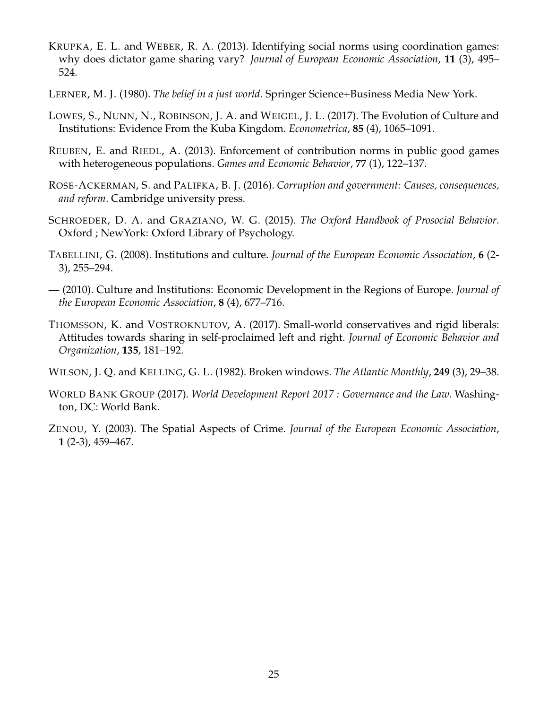- <span id="page-27-1"></span>KRUPKA, E. L. and WEBER, R. A. (2013). Identifying social norms using coordination games: why does dictator game sharing vary? *Journal of European Economic Association*, **11** (3), 495– 524.
- <span id="page-27-9"></span>LERNER, M. J. (1980). *The belief in a just world*. Springer Science+Business Media New York.
- <span id="page-27-8"></span>LOWES, S., NUNN, N., ROBINSON, J. A. and WEIGEL, J. L. (2017). The Evolution of Culture and Institutions: Evidence From the Kuba Kingdom. *Econometrica*, **85** (4), 1065–1091.
- <span id="page-27-3"></span>REUBEN, E. and RIEDL, A. (2013). Enforcement of contribution norms in public good games with heterogeneous populations. *Games and Economic Behavior*, **77** (1), 122–137.
- <span id="page-27-2"></span>ROSE-ACKERMAN, S. and PALIFKA, B. J. (2016). *Corruption and government: Causes, consequences, and reform*. Cambridge university press.
- <span id="page-27-0"></span>SCHROEDER, D. A. and GRAZIANO, W. G. (2015). *The Oxford Handbook of Prosocial Behavior*. Oxford ; NewYork: Oxford Library of Psychology.
- <span id="page-27-6"></span>TABELLINI, G. (2008). Institutions and culture. *Journal of the European Economic Association*, **6** (2- 3), 255–294.
- <span id="page-27-7"></span>— (2010). Culture and Institutions: Economic Development in the Regions of Europe. *Journal of the European Economic Association*, **8** (4), 677–716.
- <span id="page-27-11"></span>THOMSSON, K. and VOSTROKNUTOV, A. (2017). Small-world conservatives and rigid liberals: Attitudes towards sharing in self-proclaimed left and right. *Journal of Economic Behavior and Organization*, **135**, 181–192.
- <span id="page-27-5"></span>WILSON, J. Q. and KELLING, G. L. (1982). Broken windows. *The Atlantic Monthly*, **249** (3), 29–38.
- <span id="page-27-10"></span>WORLD BANK GROUP (2017). *World Development Report 2017 : Governance and the Law*. Washington, DC: World Bank.
- <span id="page-27-4"></span>ZENOU, Y. (2003). The Spatial Aspects of Crime. *Journal of the European Economic Association*, **1** (2-3), 459–467.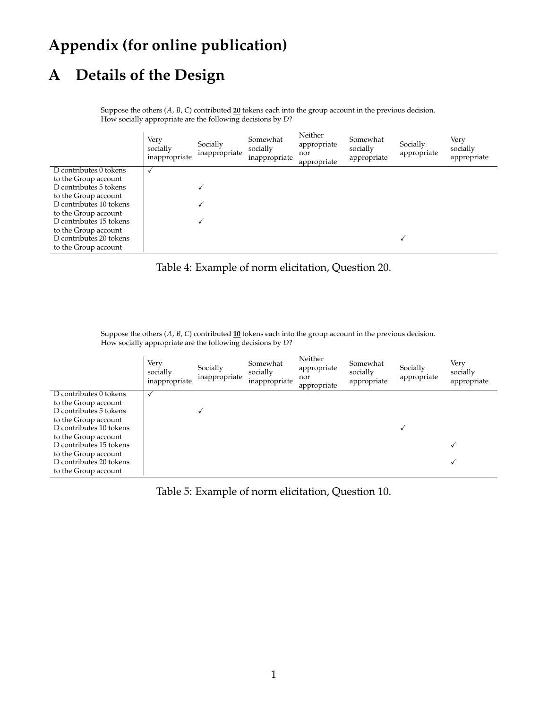# **Appendix (for online publication)**

# <span id="page-28-2"></span>**A Details of the Design**

Suppose the others (*<sup>A</sup>*, *<sup>B</sup>*, *<sup>C</sup>*) contributed **<sup>20</sup>** tokens each into the group account in the previous decision. How socially appropriate are the following decisions by *<sup>D</sup>*?

|                         | Very<br>socially<br>inappropriate | Socially<br>inappropriate | Somewhat<br>socially<br>inappropriate | Neither<br>appropriate<br>nor<br>appropriate | Somewhat<br>socially<br>appropriate | Socially<br>appropriate | Very<br>socially<br>appropriate |
|-------------------------|-----------------------------------|---------------------------|---------------------------------------|----------------------------------------------|-------------------------------------|-------------------------|---------------------------------|
| D contributes 0 tokens  | √                                 |                           |                                       |                                              |                                     |                         |                                 |
| to the Group account    |                                   |                           |                                       |                                              |                                     |                         |                                 |
| D contributes 5 tokens  |                                   |                           |                                       |                                              |                                     |                         |                                 |
| to the Group account    |                                   |                           |                                       |                                              |                                     |                         |                                 |
| D contributes 10 tokens |                                   |                           |                                       |                                              |                                     |                         |                                 |
| to the Group account    |                                   |                           |                                       |                                              |                                     |                         |                                 |
| D contributes 15 tokens |                                   |                           |                                       |                                              |                                     |                         |                                 |
| to the Group account    |                                   |                           |                                       |                                              |                                     |                         |                                 |
| D contributes 20 tokens |                                   |                           |                                       |                                              |                                     |                         |                                 |
| to the Group account    |                                   |                           |                                       |                                              |                                     |                         |                                 |

<span id="page-28-0"></span>Table 4: Example of norm elicitation, Question 20.

Suppose the others (*<sup>A</sup>*, *<sup>B</sup>*, *<sup>C</sup>*) contributed **<sup>10</sup>** tokens each into the group account in the previous decision. How socially appropriate are the following decisions by *<sup>D</sup>*?

|                         | Very<br>socially<br>inappropriate | Socially<br>inappropriate | Somewhat<br>socially<br>inappropriate | Neither<br>appropriate<br>nor<br>appropriate | Somewhat<br>socially<br>appropriate | Socially<br>appropriate | Very<br>socially<br>appropriate |
|-------------------------|-----------------------------------|---------------------------|---------------------------------------|----------------------------------------------|-------------------------------------|-------------------------|---------------------------------|
| D contributes 0 tokens  | √                                 |                           |                                       |                                              |                                     |                         |                                 |
| to the Group account    |                                   |                           |                                       |                                              |                                     |                         |                                 |
| D contributes 5 tokens  |                                   |                           |                                       |                                              |                                     |                         |                                 |
| to the Group account    |                                   |                           |                                       |                                              |                                     |                         |                                 |
| D contributes 10 tokens |                                   |                           |                                       |                                              |                                     |                         |                                 |
| to the Group account    |                                   |                           |                                       |                                              |                                     |                         |                                 |
| D contributes 15 tokens |                                   |                           |                                       |                                              |                                     |                         |                                 |
| to the Group account    |                                   |                           |                                       |                                              |                                     |                         |                                 |
| D contributes 20 tokens |                                   |                           |                                       |                                              |                                     |                         |                                 |
| to the Group account    |                                   |                           |                                       |                                              |                                     |                         |                                 |

<span id="page-28-1"></span>Table 5: Example of norm elicitation, Question 10.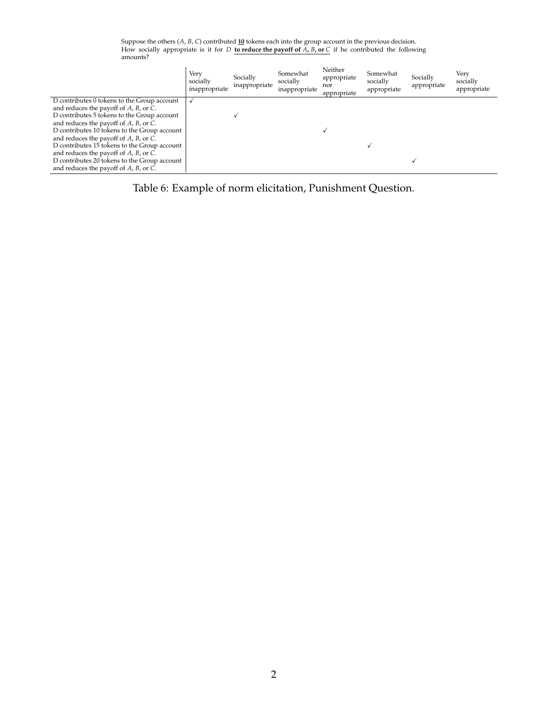Suppose the others (*<sup>A</sup>*, *<sup>B</sup>*, *<sup>C</sup>*) contributed **<sup>10</sup>** tokens each into the group account in the previous decision. How socially appropriate is it for *<sup>D</sup>* **to reduce the payoff of** *<sup>A</sup>***,** *<sup>B</sup>***, or** *<sup>C</sup>* if he contributed the following amounts?

|                                                | Verv<br>socially<br>inappropriate | Socially<br>inappropriate | Somewhat<br>socially<br>inappropriate | Neither<br>appropriate<br>nor<br>appropriate | Somewhat<br>socially<br>appropriate | Socially<br>appropriate | Very<br>socially<br>appropriate |
|------------------------------------------------|-----------------------------------|---------------------------|---------------------------------------|----------------------------------------------|-------------------------------------|-------------------------|---------------------------------|
| D contributes 0 tokens to the Group account    |                                   |                           |                                       |                                              |                                     |                         |                                 |
| and reduces the payoff of $A$ , $B$ , or $C$ . |                                   |                           |                                       |                                              |                                     |                         |                                 |
| D contributes 5 tokens to the Group account    |                                   |                           |                                       |                                              |                                     |                         |                                 |
| and reduces the payoff of $A$ , $B$ , or $C$ . |                                   |                           |                                       |                                              |                                     |                         |                                 |
| D contributes 10 tokens to the Group account   |                                   |                           |                                       |                                              |                                     |                         |                                 |
| and reduces the payoff of $A$ , $B$ , or $C$ . |                                   |                           |                                       |                                              |                                     |                         |                                 |
| D contributes 15 tokens to the Group account   |                                   |                           |                                       |                                              |                                     |                         |                                 |
| and reduces the payoff of $A$ , $B$ , or $C$ . |                                   |                           |                                       |                                              |                                     |                         |                                 |
| D contributes 20 tokens to the Group account   |                                   |                           |                                       |                                              |                                     |                         |                                 |
| and reduces the payoff of $A$ , $B$ , or $C$ . |                                   |                           |                                       |                                              |                                     |                         |                                 |

<span id="page-29-0"></span>Table 6: Example of norm elicitation, Punishment Question.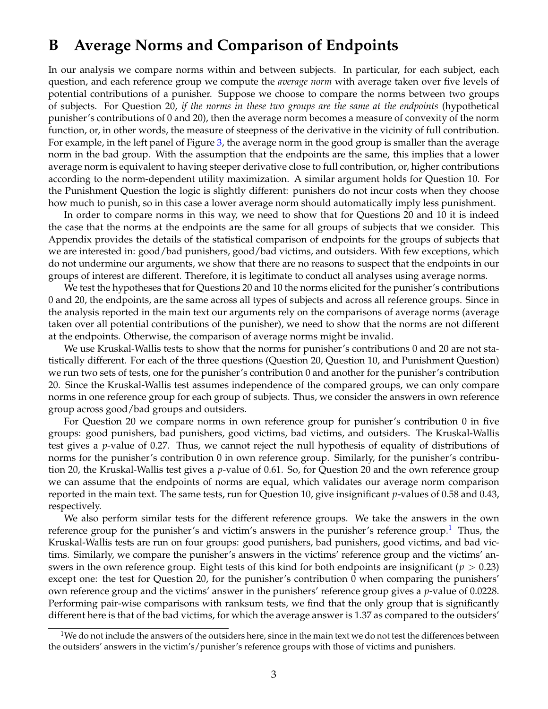# <span id="page-30-0"></span>**B Average Norms and Comparison of Endpoints**

In our analysis we compare norms within and between subjects. In particular, for each subject, each question, and each reference group we compute the *average norm* with average taken over five levels of potential contributions of a punisher. Suppose we choose to compare the norms between two groups of subjects. For Question 20, *if the norms in these two groups are the same at the endpoints* (hypothetical punisher's contributions of 0 and 20), then the average norm becomes a measure of convexity of the norm function, or, in other words, the measure of steepness of the derivative in the vicinity of full contribution. For example, in the left panel of Figure [3,](#page-13-0) the average norm in the good group is smaller than the average norm in the bad group. With the assumption that the endpoints are the same, this implies that a lower average norm is equivalent to having steeper derivative close to full contribution, or, higher contributions according to the norm-dependent utility maximization. A similar argument holds for Question 10. For the Punishment Question the logic is slightly different: punishers do not incur costs when they choose how much to punish, so in this case a lower average norm should automatically imply less punishment.

In order to compare norms in this way, we need to show that for Questions 20 and 10 it is indeed the case that the norms at the endpoints are the same for all groups of subjects that we consider. This Appendix provides the details of the statistical comparison of endpoints for the groups of subjects that we are interested in: good/bad punishers, good/bad victims, and outsiders. With few exceptions, which do not undermine our arguments, we show that there are no reasons to suspect that the endpoints in our groups of interest are different. Therefore, it is legitimate to conduct all analyses using average norms.

We test the hypotheses that for Questions 20 and 10 the norms elicited for the punisher's contributions 0 and 20, the endpoints, are the same across all types of subjects and across all reference groups. Since in the analysis reported in the main text our arguments rely on the comparisons of average norms (average taken over all potential contributions of the punisher), we need to show that the norms are not different at the endpoints. Otherwise, the comparison of average norms might be invalid.

We use Kruskal-Wallis tests to show that the norms for punisher's contributions 0 and 20 are not statistically different. For each of the three questions (Question 20, Question 10, and Punishment Question) we run two sets of tests, one for the punisher's contribution 0 and another for the punisher's contribution 20. Since the Kruskal-Wallis test assumes independence of the compared groups, we can only compare norms in one reference group for each group of subjects. Thus, we consider the answers in own reference group across good/bad groups and outsiders.

For Question 20 we compare norms in own reference group for punisher's contribution 0 in five groups: good punishers, bad punishers, good victims, bad victims, and outsiders. The Kruskal-Wallis test gives a *p*-value of 0.27. Thus, we cannot reject the null hypothesis of equality of distributions of norms for the punisher's contribution 0 in own reference group. Similarly, for the punisher's contribution 20, the Kruskal-Wallis test gives a *p*-value of 0.61. So, for Question 20 and the own reference group we can assume that the endpoints of norms are equal, which validates our average norm comparison reported in the main text. The same tests, run for Question 10, give insignificant *p*-values of 0.58 and 0.43, respectively.

We also perform similar tests for the different reference groups. We take the answers in the own reference group for the punisher's and victim's answers in the punisher's reference group.<sup>[1](#page-30-1)</sup> Thus, the Kruskal-Wallis tests are run on four groups: good punishers, bad punishers, good victims, and bad victims. Similarly, we compare the punisher's answers in the victims' reference group and the victims' answers in the own reference group. Eight tests of this kind for both endpoints are insignificant ( $p > 0.23$ ) except one: the test for Question 20, for the punisher's contribution 0 when comparing the punishers' own reference group and the victims' answer in the punishers' reference group gives a *p*-value of 0.0228. Performing pair-wise comparisons with ranksum tests, we find that the only group that is significantly different here is that of the bad victims, for which the average answer is 1.37 as compared to the outsiders'

<span id="page-30-1"></span> $1$ We do not include the answers of the outsiders here, since in the main text we do not test the differences between the outsiders' answers in the victim's/punisher's reference groups with those of victims and punishers.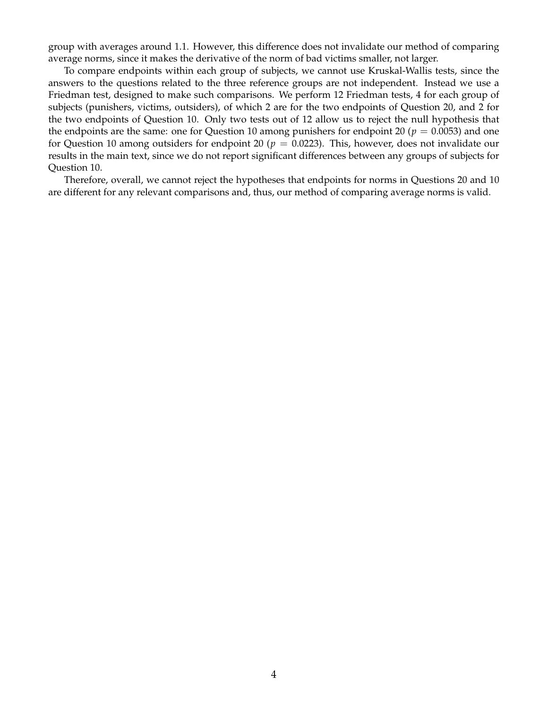group with averages around 1.1. However, this difference does not invalidate our method of comparing average norms, since it makes the derivative of the norm of bad victims smaller, not larger.

To compare endpoints within each group of subjects, we cannot use Kruskal-Wallis tests, since the answers to the questions related to the three reference groups are not independent. Instead we use a Friedman test, designed to make such comparisons. We perform 12 Friedman tests, 4 for each group of subjects (punishers, victims, outsiders), of which 2 are for the two endpoints of Question 20, and 2 for the two endpoints of Question 10. Only two tests out of 12 allow us to reject the null hypothesis that the endpoints are the same: one for Question 10 among punishers for endpoint 20 ( $p = 0.0053$ ) and one for Question 10 among outsiders for endpoint 20 ( $p = 0.0223$ ). This, however, does not invalidate our results in the main text, since we do not report significant differences between any groups of subjects for Question 10.

Therefore, overall, we cannot reject the hypotheses that endpoints for norms in Questions 20 and 10 are different for any relevant comparisons and, thus, our method of comparing average norms is valid.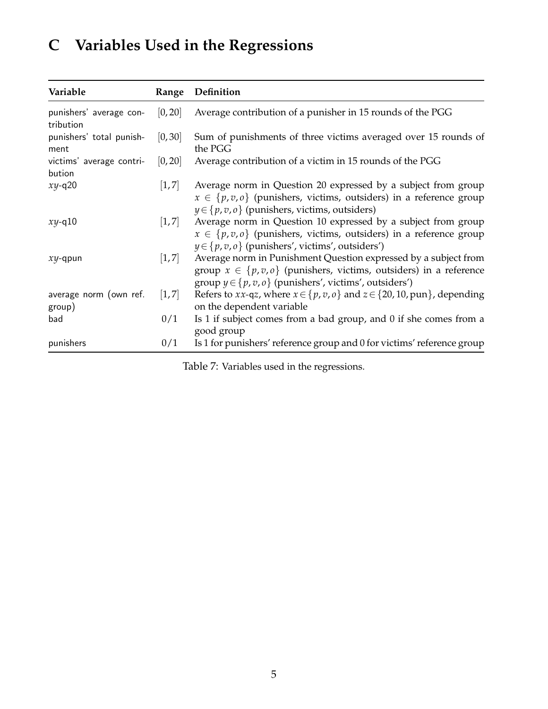# <span id="page-32-0"></span>**C Variables Used in the Regressions**

| Variable                             | Range               | Definition                                                                                                                                                                                                  |
|--------------------------------------|---------------------|-------------------------------------------------------------------------------------------------------------------------------------------------------------------------------------------------------------|
| punishers' average con-<br>tribution | [0, 20]             | Average contribution of a punisher in 15 rounds of the PGG                                                                                                                                                  |
| punishers' total punish-<br>ment     | [0, 30]             | Sum of punishments of three victims averaged over 15 rounds of<br>the PGG                                                                                                                                   |
| victims' average contri-<br>bution   | [0, 20]             | Average contribution of a victim in 15 rounds of the PGG                                                                                                                                                    |
| $xy - q20$                           | $\left[1, 7\right]$ | Average norm in Question 20 expressed by a subject from group<br>$x \in \{p, v, o\}$ (punishers, victims, outsiders) in a reference group<br>$y \in \{p, v, o\}$ (punishers, victims, outsiders)            |
| $xy - q10$                           | $\left[1, 7\right]$ | Average norm in Question 10 expressed by a subject from group<br>$x \in \{p, v, o\}$ (punishers, victims, outsiders) in a reference group<br>$y \in \{p, v, o\}$ (punishers', victims', outsiders')         |
| $xy$ -qpun                           | $\left[1, 7\right]$ | Average norm in Punishment Question expressed by a subject from<br>group $x \in \{p, v, o\}$ (punishers, victims, outsiders) in a reference<br>group $y \in \{p, v, o\}$ (punishers', victims', outsiders') |
| average norm (own ref.<br>group)     | [1, 7]              | Refers to <i>xx</i> -q <i>z</i> , where $x \in \{p, v, o\}$ and $z \in \{20, 10, pun\}$ , depending<br>on the dependent variable                                                                            |
| bad                                  | 0/1                 | Is 1 if subject comes from a bad group, and 0 if she comes from a<br>good group                                                                                                                             |
| punishers                            | 0/1                 | Is 1 for punishers' reference group and 0 for victims' reference group                                                                                                                                      |

Table 7: Variables used in the regressions.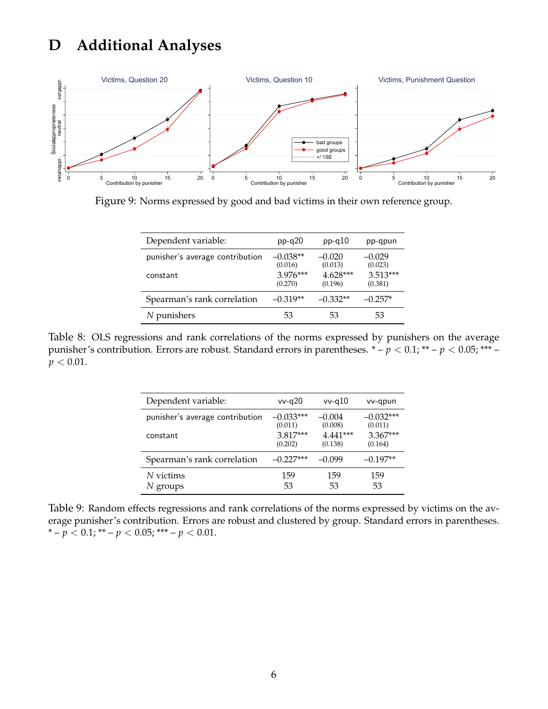# <span id="page-33-1"></span>**D Additional Analyses**



Figure 9: Norms expressed by good and bad victims in their own reference group.

<span id="page-33-2"></span>

| Dependent variable:             | $pp-q20$              | $pp-q10$              | pp-qpun               |
|---------------------------------|-----------------------|-----------------------|-----------------------|
| punisher's average contribution | $-0.038**$<br>(0.016) | $-0.020$<br>(0.013)   | $-0.029$<br>(0.023)   |
| constant                        | $3.976***$<br>(0.270) | $4.628***$<br>(0.196) | $3.513***$<br>(0.381) |
| Spearman's rank correlation     | $-0.319**$            | $-0.332**$            | $-0.257*$             |
| N punishers                     | 53                    | 53                    | 53                    |

<span id="page-33-0"></span>Table 8: OLS regressions and rank correlations of the norms expressed by punishers on the average punisher's contribution. Errors are robust. Standard errors in parentheses. \* – *p* < 0.1; \*\* – *p* < 0.05; \*\*\* –  $p < 0.01$ .

| Dependent variable:             | $vv$ -q $20$ | $vv$ -q $10$ | vv-qpun     |
|---------------------------------|--------------|--------------|-------------|
| punisher's average contribution | $-0.033***$  | $-0.004$     | $-0.032***$ |
|                                 | (0.011)      | (0.008)      | (0.011)     |
| constant                        | $3.817***$   | 4.441***     | $3.367***$  |
|                                 | (0.202)      | (0.138)      | (0.164)     |
| Spearman's rank correlation     | $-0.227***$  | $-0.099$     | $-0.197**$  |
| N victims                       | 159          | 159          | 159         |
| $N$ groups                      | 53           | 53           | 53          |

<span id="page-33-3"></span>Table 9: Random effects regressions and rank correlations of the norms expressed by victims on the average punisher's contribution. Errors are robust and clustered by group. Standard errors in parentheses. \* –  $p < 0.1$ ; \*\* –  $p < 0.05$ ; \*\*\* –  $p < 0.01$ .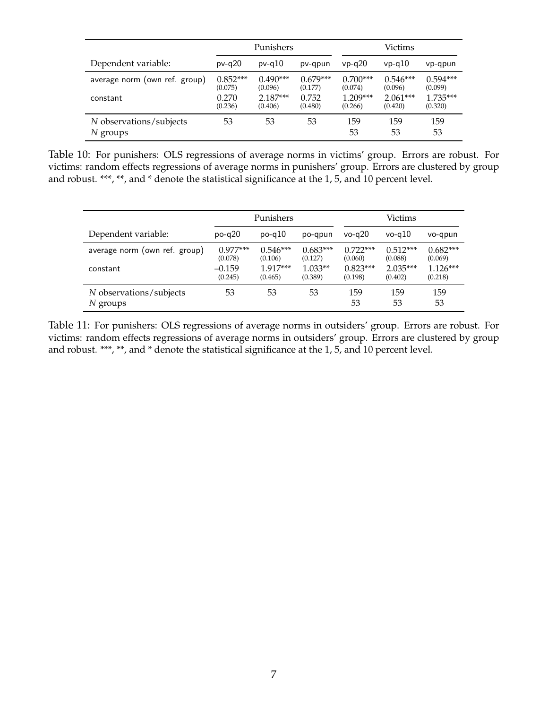|                                     | Punishers             |                       |                       |                       | Victims               |                       |
|-------------------------------------|-----------------------|-----------------------|-----------------------|-----------------------|-----------------------|-----------------------|
| Dependent variable:                 | $pv-q20$              | $pv-q10$              | pv-qpun               | $vp-q20$              | $vp-q10$              | vp-qpun               |
| average norm (own ref. group)       | $0.852***$<br>(0.075) | $0.490***$<br>(0.096) | $0.679***$<br>(0.177) | $0.700***$<br>(0.074) | $0.546***$<br>(0.096) | $0.594***$<br>(0.099) |
| constant                            | 0.270<br>(0.236)      | $2.187***$<br>(0.406) | 0.752<br>(0.480)      | $1.209***$<br>(0.266) | $2.061***$<br>(0.420) | $1.735***$<br>(0.320) |
| N observations/subjects<br>N groups | 53                    | 53                    | 53                    | 159<br>53             | 159<br>53             | 159<br>53             |

<span id="page-34-0"></span>Table 10: For punishers: OLS regressions of average norms in victims' group. Errors are robust. For victims: random effects regressions of average norms in punishers' group. Errors are clustered by group and robust. \*\*\*, \*\*, and \* denote the statistical significance at the 1, 5, and 10 percent level.

|                                       | Punishers             |                       |                       | Victims               |                       |                       |
|---------------------------------------|-----------------------|-----------------------|-----------------------|-----------------------|-----------------------|-----------------------|
| Dependent variable:                   | $po-q20$              | $po-q10$              | po-qpun               | $vo-a20$              | $vo-q10$              | vo-qpun               |
| average norm (own ref. group)         | $0.977***$<br>(0.078) | $0.546***$<br>(0.106) | $0.683***$<br>(0.127) | $0.722***$<br>(0.060) | $0.512***$<br>(0.088) | $0.682***$<br>(0.069) |
| constant                              | $-0.159$<br>(0.245)   | $1.917***$<br>(0.465) | $1.033**$<br>(0.389)  | $0.823***$<br>(0.198) | $2.035***$<br>(0.402) | $1.126***$<br>(0.218) |
| N observations/subjects<br>$N$ groups | 53                    | 53                    | 53                    | 159<br>53             | 159<br>53             | 159<br>53             |

<span id="page-34-1"></span>Table 11: For punishers: OLS regressions of average norms in outsiders' group. Errors are robust. For victims: random effects regressions of average norms in outsiders' group. Errors are clustered by group and robust. \*\*\*, \*\*, and \* denote the statistical significance at the 1, 5, and 10 percent level.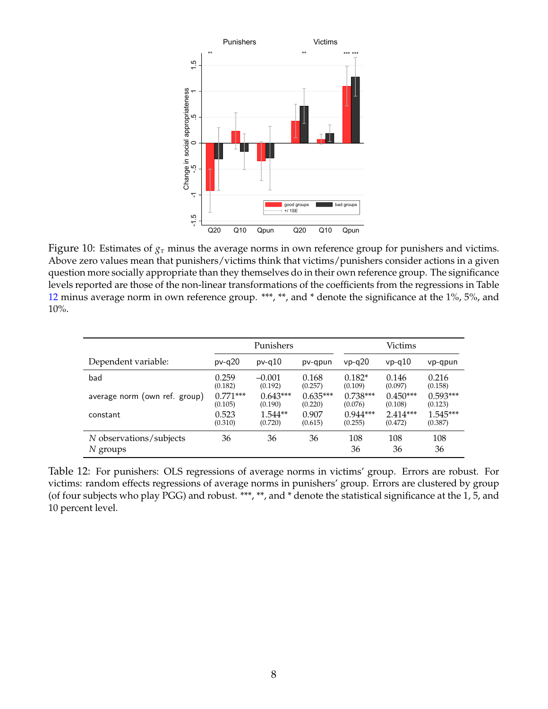

<span id="page-35-0"></span>Figure 10: Estimates of *g<sup>τ</sup>* minus the average norms in own reference group for punishers and victims. Above zero values mean that punishers/victims think that victims/punishers consider actions in a given question more socially appropriate than they themselves do in their own reference group. The significance levels reported are those of the non-linear transformations of the coefficients from the regressions in Table [12](#page-35-1) minus average norm in own reference group. \*\*\*, \*\*, and \* denote the significance at the 1%, 5%, and 10%.

|                                       | Punishers  |            |            | Victims    |            |            |
|---------------------------------------|------------|------------|------------|------------|------------|------------|
| Dependent variable:                   | $pv-q20$   | $pv-q10$   | pv-qpun    | $vp-q20$   | $vp-q10$   | vp-qpun    |
| bad                                   | 0.259      | $-0.001$   | 0.168      | $0.182*$   | 0.146      | 0.216      |
|                                       | (0.182)    | (0.192)    | (0.257)    | (0.109)    | (0.097)    | (0.158)    |
| average norm (own ref. group)         | $0.771***$ | $0.643***$ | $0.635***$ | $0.738***$ | $0.450***$ | $0.593***$ |
|                                       | (0.105)    | (0.190)    | (0.220)    | (0.076)    | (0.108)    | (0.123)    |
| constant                              | 0.523      | $1.544**$  | 0.907      | $0.944***$ | $2.414***$ | $1.545***$ |
|                                       | (0.310)    | (0.720)    | (0.615)    | (0.255)    | (0.472)    | (0.387)    |
| N observations/subjects<br>$N$ groups | 36         | 36         | 36         | 108<br>36  | 108<br>36  | 108<br>36  |

<span id="page-35-1"></span>Table 12: For punishers: OLS regressions of average norms in victims' group. Errors are robust. For victims: random effects regressions of average norms in punishers' group. Errors are clustered by group (of four subjects who play PGG) and robust. \*\*\*, \*\*, and \* denote the statistical significance at the 1, 5, and 10 percent level.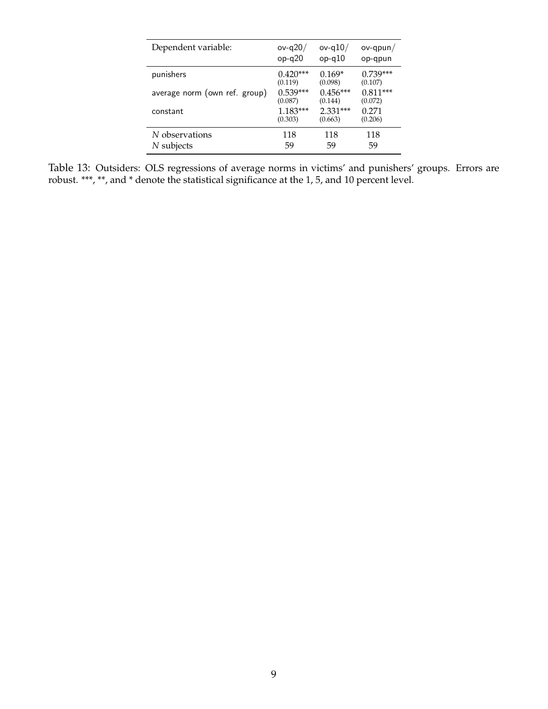| Dependent variable:           | ov-q $20/$ | ov-q $10/$ | $ov-qpun/$ |
|-------------------------------|------------|------------|------------|
|                               | $op-q20$   | $op-q10$   | op-qpun    |
| punishers                     | $0.420***$ | $0.169*$   | $0.739***$ |
|                               | (0.119)    | (0.098)    | (0.107)    |
| average norm (own ref. group) | $0.539***$ | $0.456***$ | $0.811***$ |
|                               | (0.087)    | (0.144)    | (0.072)    |
| constant                      | $1.183***$ | $2.331***$ | 0.271      |
|                               | (0.303)    | (0.663)    | (0.206)    |
| N observations                | 118        | 118        | 118        |
| $N$ subjects                  | 59         | 59         | 59         |

<span id="page-36-0"></span>Table 13: Outsiders: OLS regressions of average norms in victims' and punishers' groups. Errors are robust. \*\*\*, \*\*, and \* denote the statistical significance at the 1, 5, and 10 percent level.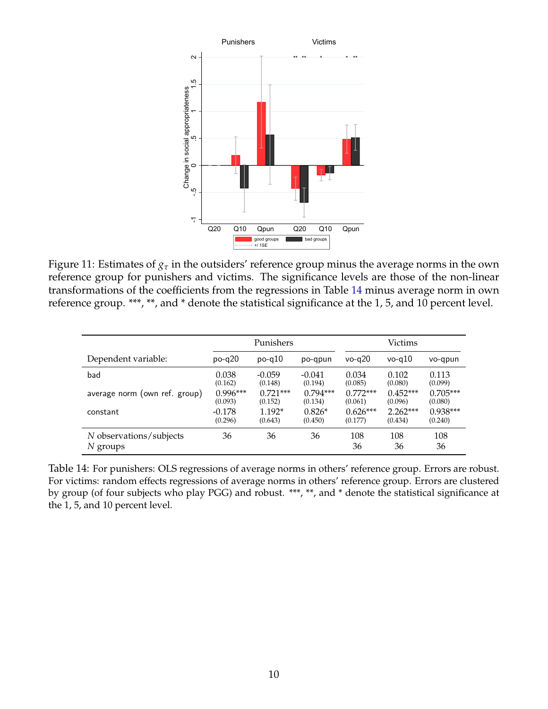

<span id="page-37-0"></span>Figure 11: Estimates of *g<sup>τ</sup>* in the outsiders' reference group minus the average norms in the own reference group for punishers and victims. The significance levels are those of the non-linear transformations of the coefficients from the regressions in Table [14](#page-37-1) minus average norm in own reference group. \*\*\*, \*\*, and \* denote the statistical significance at the 1, 5, and 10 percent level.

|                                     | Punishers  |            | Victims    |            |            |            |
|-------------------------------------|------------|------------|------------|------------|------------|------------|
| Dependent variable:                 | $po-q20$   | $po-q10$   | po-qpun    | $vo-a20$   | $vo-a10$   | vo-qpun    |
| bad                                 | 0.038      | $-0.059$   | $-0.041$   | 0.034      | 0.102      | 0.113      |
|                                     | (0.162)    | (0.148)    | (0.194)    | (0.085)    | (0.080)    | (0.099)    |
| average norm (own ref. group)       | $0.996***$ | $0.721***$ | $0.794***$ | $0.772***$ | $0.452***$ | $0.705***$ |
|                                     | (0.093)    | (0.152)    | (0.134)    | (0.061)    | (0.096)    | (0.080)    |
| constant                            | $-0.178$   | $1.192*$   | $0.826*$   | $0.626***$ | $2.262***$ | $0.938***$ |
|                                     | (0.296)    | (0.643)    | (0.450)    | (0.177)    | (0.434)    | (0.240)    |
| N observations/subjects<br>N groups | 36         | 36         | 36         | 108<br>36  | 108<br>36  | 108<br>36  |

<span id="page-37-1"></span>Table 14: For punishers: OLS regressions of average norms in others' reference group. Errors are robust. For victims: random effects regressions of average norms in others' reference group. Errors are clustered by group (of four subjects who play PGG) and robust. \*\*\*, \*\*, and \* denote the statistical significance at the 1, 5, and 10 percent level.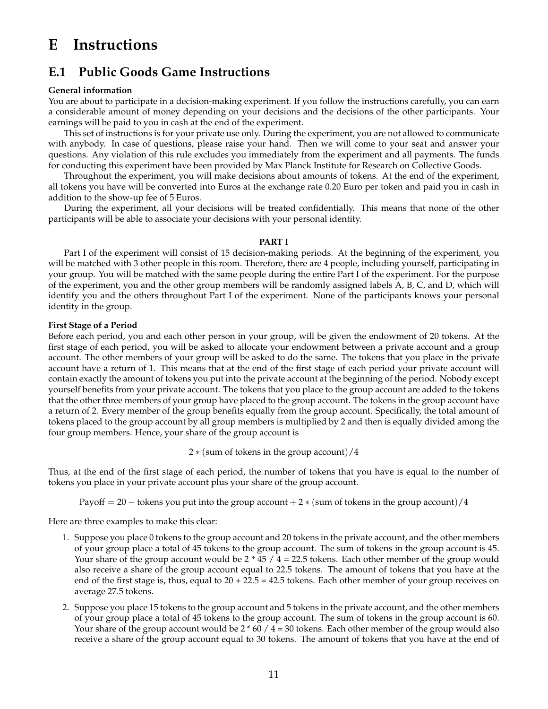# <span id="page-38-0"></span>**E Instructions**

# **E.1 Public Goods Game Instructions**

## **General information**

You are about to participate in a decision-making experiment. If you follow the instructions carefully, you can earn a considerable amount of money depending on your decisions and the decisions of the other participants. Your earnings will be paid to you in cash at the end of the experiment.

This set of instructions is for your private use only. During the experiment, you are not allowed to communicate with anybody. In case of questions, please raise your hand. Then we will come to your seat and answer your questions. Any violation of this rule excludes you immediately from the experiment and all payments. The funds for conducting this experiment have been provided by Max Planck Institute for Research on Collective Goods.

Throughout the experiment, you will make decisions about amounts of tokens. At the end of the experiment, all tokens you have will be converted into Euros at the exchange rate 0.20 Euro per token and paid you in cash in addition to the show-up fee of 5 Euros.

During the experiment, all your decisions will be treated confidentially. This means that none of the other participants will be able to associate your decisions with your personal identity.

## **PART I**

Part I of the experiment will consist of 15 decision-making periods. At the beginning of the experiment, you will be matched with 3 other people in this room. Therefore, there are 4 people, including yourself, participating in your group. You will be matched with the same people during the entire Part I of the experiment. For the purpose of the experiment, you and the other group members will be randomly assigned labels A, B, C, and D, which will identify you and the others throughout Part I of the experiment. None of the participants knows your personal identity in the group.

## **First Stage of a Period**

Before each period, you and each other person in your group, will be given the endowment of 20 tokens. At the first stage of each period, you will be asked to allocate your endowment between a private account and a group account. The other members of your group will be asked to do the same. The tokens that you place in the private account have a return of 1. This means that at the end of the first stage of each period your private account will contain exactly the amount of tokens you put into the private account at the beginning of the period. Nobody except yourself benefits from your private account. The tokens that you place to the group account are added to the tokens that the other three members of your group have placed to the group account. The tokens in the group account have a return of 2. Every member of the group benefits equally from the group account. Specifically, the total amount of tokens placed to the group account by all group members is multiplied by 2 and then is equally divided among the four group members. Hence, your share of the group account is

2 ∗ (sum of tokens in the group account)/4

Thus, at the end of the first stage of each period, the number of tokens that you have is equal to the number of tokens you place in your private account plus your share of the group account.

Payoff = 20 – tokens you put into the group account + 2  $*$  (sum of tokens in the group account)/4

Here are three examples to make this clear:

- 1. Suppose you place 0 tokens to the group account and 20 tokens in the private account, and the other members of your group place a total of 45 tokens to the group account. The sum of tokens in the group account is 45. Your share of the group account would be  $2 * 45 / 4 = 22.5$  tokens. Each other member of the group would also receive a share of the group account equal to 22.5 tokens. The amount of tokens that you have at the end of the first stage is, thus, equal to  $20 + 22.5 = 42.5$  tokens. Each other member of your group receives on average 27.5 tokens.
- 2. Suppose you place 15 tokens to the group account and 5 tokens in the private account, and the other members of your group place a total of 45 tokens to the group account. The sum of tokens in the group account is 60. Your share of the group account would be  $2 * 60 / 4 = 30$  tokens. Each other member of the group would also receive a share of the group account equal to 30 tokens. The amount of tokens that you have at the end of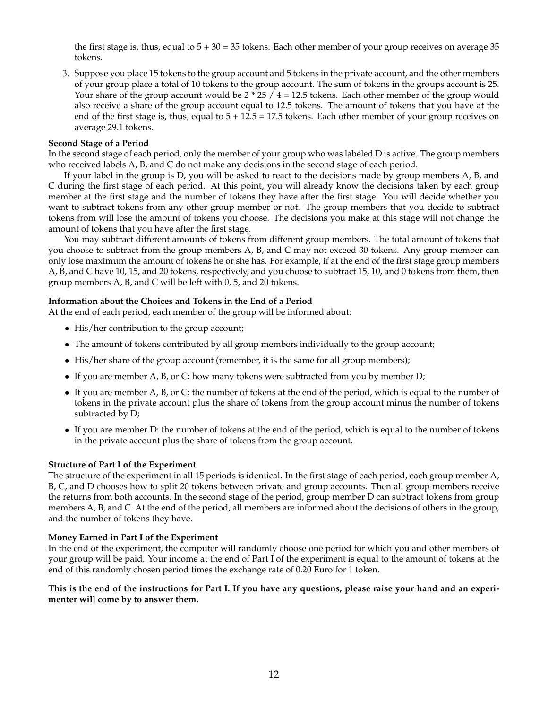the first stage is, thus, equal to  $5 + 30 = 35$  tokens. Each other member of your group receives on average 35 tokens.

3. Suppose you place 15 tokens to the group account and 5 tokens in the private account, and the other members of your group place a total of 10 tokens to the group account. The sum of tokens in the groups account is 25. Your share of the group account would be  $2 \times 25 / 4 = 12.5$  tokens. Each other member of the group would also receive a share of the group account equal to 12.5 tokens. The amount of tokens that you have at the end of the first stage is, thus, equal to  $5 + 12.5 = 17.5$  tokens. Each other member of your group receives on average 29.1 tokens.

## **Second Stage of a Period**

In the second stage of each period, only the member of your group who was labeled D is active. The group members who received labels A, B, and C do not make any decisions in the second stage of each period.

If your label in the group is D, you will be asked to react to the decisions made by group members A, B, and C during the first stage of each period. At this point, you will already know the decisions taken by each group member at the first stage and the number of tokens they have after the first stage. You will decide whether you want to subtract tokens from any other group member or not. The group members that you decide to subtract tokens from will lose the amount of tokens you choose. The decisions you make at this stage will not change the amount of tokens that you have after the first stage.

You may subtract different amounts of tokens from different group members. The total amount of tokens that you choose to subtract from the group members A, B, and C may not exceed 30 tokens. Any group member can only lose maximum the amount of tokens he or she has. For example, if at the end of the first stage group members A, B, and C have 10, 15, and 20 tokens, respectively, and you choose to subtract 15, 10, and 0 tokens from them, then group members A, B, and C will be left with 0, 5, and 20 tokens.

## **Information about the Choices and Tokens in the End of a Period**

At the end of each period, each member of the group will be informed about:

- His/her contribution to the group account;
- The amount of tokens contributed by all group members individually to the group account;
- His/her share of the group account (remember, it is the same for all group members);
- If you are member A, B, or C: how many tokens were subtracted from you by member D;
- If you are member A, B, or C: the number of tokens at the end of the period, which is equal to the number of tokens in the private account plus the share of tokens from the group account minus the number of tokens subtracted by D;
- If you are member D: the number of tokens at the end of the period, which is equal to the number of tokens in the private account plus the share of tokens from the group account.

## **Structure of Part I of the Experiment**

The structure of the experiment in all 15 periods is identical. In the first stage of each period, each group member A, B, C, and D chooses how to split 20 tokens between private and group accounts. Then all group members receive the returns from both accounts. In the second stage of the period, group member D can subtract tokens from group members A, B, and C. At the end of the period, all members are informed about the decisions of others in the group, and the number of tokens they have.

## **Money Earned in Part I of the Experiment**

In the end of the experiment, the computer will randomly choose one period for which you and other members of your group will be paid. Your income at the end of Part I of the experiment is equal to the amount of tokens at the end of this randomly chosen period times the exchange rate of 0.20 Euro for 1 token.

**This is the end of the instructions for Part I. If you have any questions, please raise your hand and an experimenter will come by to answer them.**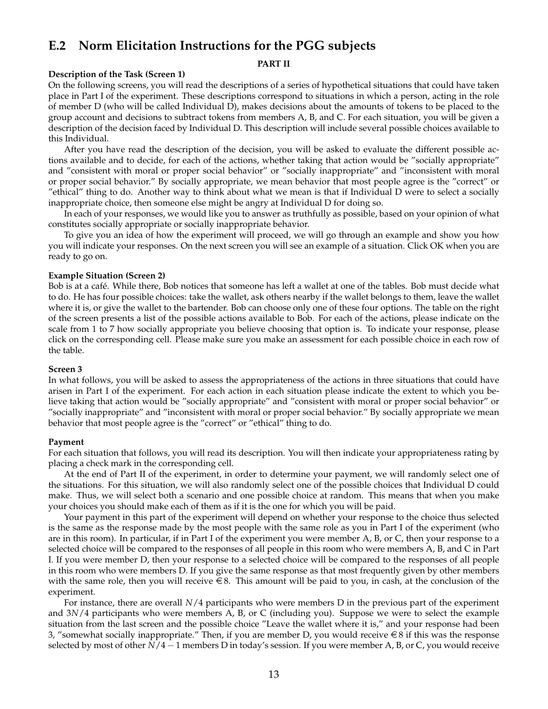# **E.2 Norm Elicitation Instructions for the PGG subjects**

#### **PART II**

## **Description of the Task (Screen 1)**

On the following screens, you will read the descriptions of a series of hypothetical situations that could have taken place in Part I of the experiment. These descriptions correspond to situations in which a person, acting in the role of member D (who will be called Individual D), makes decisions about the amounts of tokens to be placed to the group account and decisions to subtract tokens from members A, B, and C. For each situation, you will be given a description of the decision faced by Individual D. This description will include several possible choices available to this Individual.

After you have read the description of the decision, you will be asked to evaluate the different possible actions available and to decide, for each of the actions, whether taking that action would be "socially appropriate" and "consistent with moral or proper social behavior" or "socially inappropriate" and "inconsistent with moral or proper social behavior." By socially appropriate, we mean behavior that most people agree is the "correct" or "ethical" thing to do. Another way to think about what we mean is that if Individual D were to select a socially inappropriate choice, then someone else might be angry at Individual D for doing so.

In each of your responses, we would like you to answer as truthfully as possible, based on your opinion of what constitutes socially appropriate or socially inappropriate behavior.

To give you an idea of how the experiment will proceed, we will go through an example and show you how you will indicate your responses. On the next screen you will see an example of a situation. Click OK when you are ready to go on.

## **Example Situation (Screen 2)**

Bob is at a cafe. While there, Bob notices that someone has left a wallet at one of the tables. Bob must decide what ´ to do. He has four possible choices: take the wallet, ask others nearby if the wallet belongs to them, leave the wallet where it is, or give the wallet to the bartender. Bob can choose only one of these four options. The table on the right of the screen presents a list of the possible actions available to Bob. For each of the actions, please indicate on the scale from 1 to 7 how socially appropriate you believe choosing that option is. To indicate your response, please click on the corresponding cell. Please make sure you make an assessment for each possible choice in each row of the table.

## **Screen 3**

In what follows, you will be asked to assess the appropriateness of the actions in three situations that could have arisen in Part I of the experiment. For each action in each situation please indicate the extent to which you believe taking that action would be "socially appropriate" and "consistent with moral or proper social behavior" or "socially inappropriate" and "inconsistent with moral or proper social behavior." By socially appropriate we mean behavior that most people agree is the "correct" or "ethical" thing to do.

## **Payment**

For each situation that follows, you will read its description. You will then indicate your appropriateness rating by placing a check mark in the corresponding cell.

At the end of Part II of the experiment, in order to determine your payment, we will randomly select one of the situations. For this situation, we will also randomly select one of the possible choices that Individual D could make. Thus, we will select both a scenario and one possible choice at random. This means that when you make your choices you should make each of them as if it is the one for which you will be paid.

Your payment in this part of the experiment will depend on whether your response to the choice thus selected is the same as the response made by the most people with the same role as you in Part I of the experiment (who are in this room). In particular, if in Part I of the experiment you were member A, B, or C, then your response to a selected choice will be compared to the responses of all people in this room who were members A, B, and C in Part I. If you were member D, then your response to a selected choice will be compared to the responses of all people in this room who were members D. If you give the same response as that most frequently given by other members with the same role, then you will receive  $\epsilon \in S$ . This amount will be paid to you, in cash, at the conclusion of the experiment.

For instance, there are overall *N*/4 participants who were members D in the previous part of the experiment and 3*N*/4 participants who were members A, B, or C (including you). Suppose we were to select the example situation from the last screen and the possible choice "Leave the wallet where it is," and your response had been 3, "somewhat socially inappropriate." Then, if you are member D, you would receive  $\in$  8 if this was the response selected by most of other *N*/4 − 1 members D in today's session. If you were member A, B, or C, you would receive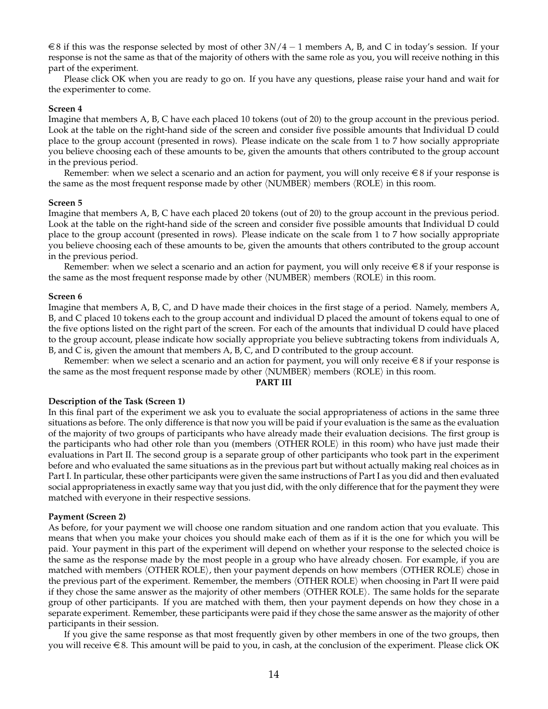e 8 if this was the response selected by most of other 3*N*/4 − 1 members A, B, and C in today's session. If your response is not the same as that of the majority of others with the same role as you, you will receive nothing in this part of the experiment.

Please click OK when you are ready to go on. If you have any questions, please raise your hand and wait for the experimenter to come.

### **Screen 4**

Imagine that members A, B, C have each placed 10 tokens (out of 20) to the group account in the previous period. Look at the table on the right-hand side of the screen and consider five possible amounts that Individual D could place to the group account (presented in rows). Please indicate on the scale from 1 to 7 how socially appropriate you believe choosing each of these amounts to be, given the amounts that others contributed to the group account in the previous period.

Remember: when we select a scenario and an action for payment, you will only receive  $\epsilon \in S$  if your response is the same as the most frequent response made by other  $\langle NUMBER \rangle$  members  $\langle ROLE \rangle$  in this room.

#### **Screen 5**

Imagine that members A, B, C have each placed 20 tokens (out of 20) to the group account in the previous period. Look at the table on the right-hand side of the screen and consider five possible amounts that Individual D could place to the group account (presented in rows). Please indicate on the scale from 1 to 7 how socially appropriate you believe choosing each of these amounts to be, given the amounts that others contributed to the group account in the previous period.

Remember: when we select a scenario and an action for payment, you will only receive  $\epsilon \in S$  if your response is the same as the most frequent response made by other  $\langle NUMBER \rangle$  members  $\langle ROLE \rangle$  in this room.

#### **Screen 6**

Imagine that members A, B, C, and D have made their choices in the first stage of a period. Namely, members A, B, and C placed 10 tokens each to the group account and individual D placed the amount of tokens equal to one of the five options listed on the right part of the screen. For each of the amounts that individual D could have placed to the group account, please indicate how socially appropriate you believe subtracting tokens from individuals A, B, and C is, given the amount that members A, B, C, and D contributed to the group account.

Remember: when we select a scenario and an action for payment, you will only receive  $\epsilon \in S$  if your response is the same as the most frequent response made by other  $\langle NUMBER \rangle$  members  $\langle ROLE \rangle$  in this room.

#### **PART III**

#### **Description of the Task (Screen 1)**

In this final part of the experiment we ask you to evaluate the social appropriateness of actions in the same three situations as before. The only difference is that now you will be paid if your evaluation is the same as the evaluation of the majority of two groups of participants who have already made their evaluation decisions. The first group is the participants who had other role than you (members  $\langle$  OTHER ROLE $\rangle$  in this room) who have just made their evaluations in Part II. The second group is a separate group of other participants who took part in the experiment before and who evaluated the same situations as in the previous part but without actually making real choices as in Part I. In particular, these other participants were given the same instructions of Part I as you did and then evaluated social appropriateness in exactly same way that you just did, with the only difference that for the payment they were matched with everyone in their respective sessions.

#### **Payment (Screen 2)**

As before, for your payment we will choose one random situation and one random action that you evaluate. This means that when you make your choices you should make each of them as if it is the one for which you will be paid. Your payment in this part of the experiment will depend on whether your response to the selected choice is the same as the response made by the most people in a group who have already chosen. For example, if you are matched with members  $\langle$  OTHER ROLE $\rangle$ , then your payment depends on how members  $\langle$  OTHER ROLE $\rangle$  chose in the previous part of the experiment. Remember, the members  $\langle$  OTHER ROLE $\rangle$  when choosing in Part II were paid if they chose the same answer as the majority of other members (OTHER ROLE). The same holds for the separate group of other participants. If you are matched with them, then your payment depends on how they chose in a separate experiment. Remember, these participants were paid if they chose the same answer as the majority of other participants in their session.

If you give the same response as that most frequently given by other members in one of the two groups, then you will receive  $\in$  8. This amount will be paid to you, in cash, at the conclusion of the experiment. Please click OK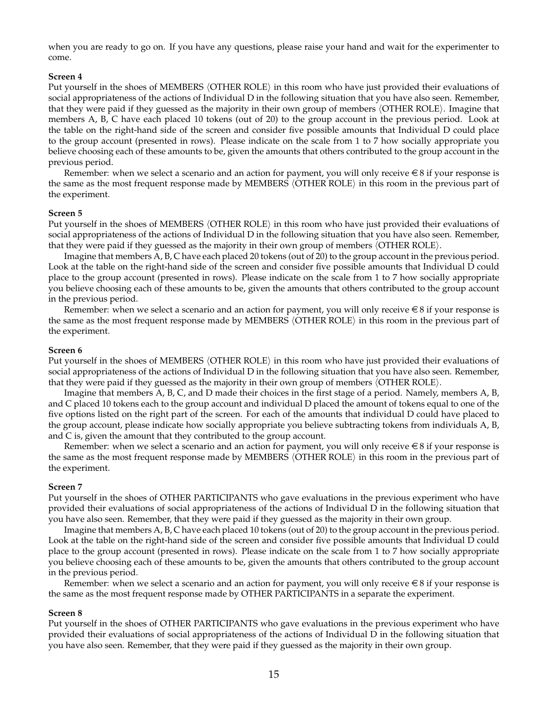when you are ready to go on. If you have any questions, please raise your hand and wait for the experimenter to come.

## **Screen 4**

Put yourself in the shoes of MEMBERS (OTHER ROLE) in this room who have just provided their evaluations of social appropriateness of the actions of Individual D in the following situation that you have also seen. Remember, that they were paid if they guessed as the majority in their own group of members  $\langle$  OTHER ROLE $\rangle$ . Imagine that members A, B, C have each placed 10 tokens (out of 20) to the group account in the previous period. Look at the table on the right-hand side of the screen and consider five possible amounts that Individual D could place to the group account (presented in rows). Please indicate on the scale from 1 to 7 how socially appropriate you believe choosing each of these amounts to be, given the amounts that others contributed to the group account in the previous period.

Remember: when we select a scenario and an action for payment, you will only receive  $\in$  8 if your response is the same as the most frequent response made by MEMBERS  $\langle$  OTHER ROLE $\rangle$  in this room in the previous part of the experiment.

## **Screen 5**

Put yourself in the shoes of MEMBERS (OTHER ROLE) in this room who have just provided their evaluations of social appropriateness of the actions of Individual D in the following situation that you have also seen. Remember, that they were paid if they guessed as the majority in their own group of members  $\langle$  OTHER ROLE $\rangle$ .

Imagine that members A, B, C have each placed 20 tokens (out of 20) to the group account in the previous period. Look at the table on the right-hand side of the screen and consider five possible amounts that Individual D could place to the group account (presented in rows). Please indicate on the scale from 1 to 7 how socially appropriate you believe choosing each of these amounts to be, given the amounts that others contributed to the group account in the previous period.

Remember: when we select a scenario and an action for payment, you will only receive  $\in 8$  if your response is the same as the most frequent response made by MEMBERS  $\langle$  OTHER ROLE $\rangle$  in this room in the previous part of the experiment.

## **Screen 6**

Put yourself in the shoes of MEMBERS (OTHER ROLE) in this room who have just provided their evaluations of social appropriateness of the actions of Individual D in the following situation that you have also seen. Remember, that they were paid if they guessed as the majority in their own group of members  $\langle$  OTHER ROLE $\rangle$ .

Imagine that members A, B, C, and D made their choices in the first stage of a period. Namely, members A, B, and C placed 10 tokens each to the group account and individual D placed the amount of tokens equal to one of the five options listed on the right part of the screen. For each of the amounts that individual D could have placed to the group account, please indicate how socially appropriate you believe subtracting tokens from individuals A, B, and C is, given the amount that they contributed to the group account.

Remember: when we select a scenario and an action for payment, you will only receive  $\in$  8 if your response is the same as the most frequent response made by MEMBERS  $\langle$  OTHER ROLE $\rangle$  in this room in the previous part of the experiment.

## **Screen 7**

Put yourself in the shoes of OTHER PARTICIPANTS who gave evaluations in the previous experiment who have provided their evaluations of social appropriateness of the actions of Individual D in the following situation that you have also seen. Remember, that they were paid if they guessed as the majority in their own group.

Imagine that members A, B, C have each placed 10 tokens (out of 20) to the group account in the previous period. Look at the table on the right-hand side of the screen and consider five possible amounts that Individual D could place to the group account (presented in rows). Please indicate on the scale from 1 to 7 how socially appropriate you believe choosing each of these amounts to be, given the amounts that others contributed to the group account in the previous period.

Remember: when we select a scenario and an action for payment, you will only receive  $\epsilon \in S$  if your response is the same as the most frequent response made by OTHER PARTICIPANTS in a separate the experiment.

## **Screen 8**

Put yourself in the shoes of OTHER PARTICIPANTS who gave evaluations in the previous experiment who have provided their evaluations of social appropriateness of the actions of Individual D in the following situation that you have also seen. Remember, that they were paid if they guessed as the majority in their own group.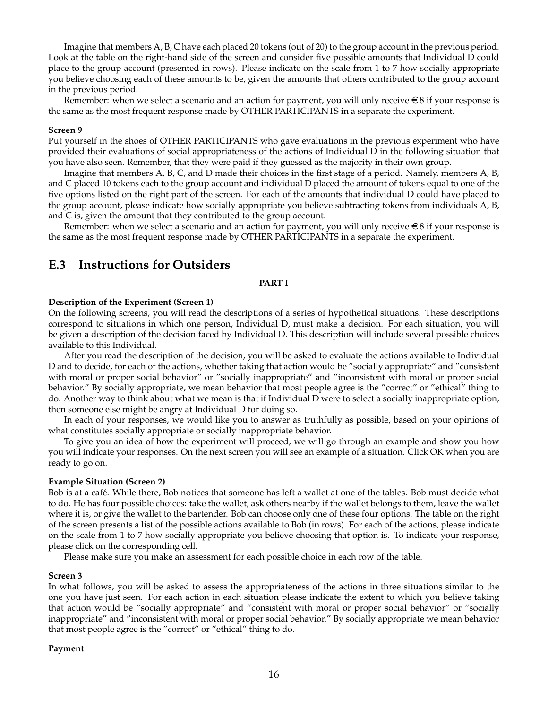Imagine that members A, B, C have each placed 20 tokens (out of 20) to the group account in the previous period. Look at the table on the right-hand side of the screen and consider five possible amounts that Individual D could place to the group account (presented in rows). Please indicate on the scale from 1 to 7 how socially appropriate you believe choosing each of these amounts to be, given the amounts that others contributed to the group account in the previous period.

Remember: when we select a scenario and an action for payment, you will only receive  $\epsilon \in S$  if your response is the same as the most frequent response made by OTHER PARTICIPANTS in a separate the experiment.

#### **Screen 9**

Put yourself in the shoes of OTHER PARTICIPANTS who gave evaluations in the previous experiment who have provided their evaluations of social appropriateness of the actions of Individual D in the following situation that you have also seen. Remember, that they were paid if they guessed as the majority in their own group.

Imagine that members A, B, C, and D made their choices in the first stage of a period. Namely, members A, B, and C placed 10 tokens each to the group account and individual D placed the amount of tokens equal to one of the five options listed on the right part of the screen. For each of the amounts that individual D could have placed to the group account, please indicate how socially appropriate you believe subtracting tokens from individuals A, B, and C is, given the amount that they contributed to the group account.

Remember: when we select a scenario and an action for payment, you will only receive  $\in$  8 if your response is the same as the most frequent response made by OTHER PARTICIPANTS in a separate the experiment.

## **E.3 Instructions for Outsiders**

### **PART I**

#### **Description of the Experiment (Screen 1)**

On the following screens, you will read the descriptions of a series of hypothetical situations. These descriptions correspond to situations in which one person, Individual D, must make a decision. For each situation, you will be given a description of the decision faced by Individual D. This description will include several possible choices available to this Individual.

After you read the description of the decision, you will be asked to evaluate the actions available to Individual D and to decide, for each of the actions, whether taking that action would be "socially appropriate" and "consistent with moral or proper social behavior" or "socially inappropriate" and "inconsistent with moral or proper social behavior." By socially appropriate, we mean behavior that most people agree is the "correct" or "ethical" thing to do. Another way to think about what we mean is that if Individual D were to select a socially inappropriate option, then someone else might be angry at Individual D for doing so.

In each of your responses, we would like you to answer as truthfully as possible, based on your opinions of what constitutes socially appropriate or socially inappropriate behavior.

To give you an idea of how the experiment will proceed, we will go through an example and show you how you will indicate your responses. On the next screen you will see an example of a situation. Click OK when you are ready to go on.

#### **Example Situation (Screen 2)**

Bob is at a café. While there, Bob notices that someone has left a wallet at one of the tables. Bob must decide what to do. He has four possible choices: take the wallet, ask others nearby if the wallet belongs to them, leave the wallet where it is, or give the wallet to the bartender. Bob can choose only one of these four options. The table on the right of the screen presents a list of the possible actions available to Bob (in rows). For each of the actions, please indicate on the scale from 1 to 7 how socially appropriate you believe choosing that option is. To indicate your response, please click on the corresponding cell.

Please make sure you make an assessment for each possible choice in each row of the table.

#### **Screen 3**

In what follows, you will be asked to assess the appropriateness of the actions in three situations similar to the one you have just seen. For each action in each situation please indicate the extent to which you believe taking that action would be "socially appropriate" and "consistent with moral or proper social behavior" or "socially inappropriate" and "inconsistent with moral or proper social behavior." By socially appropriate we mean behavior that most people agree is the "correct" or "ethical" thing to do.

### **Payment**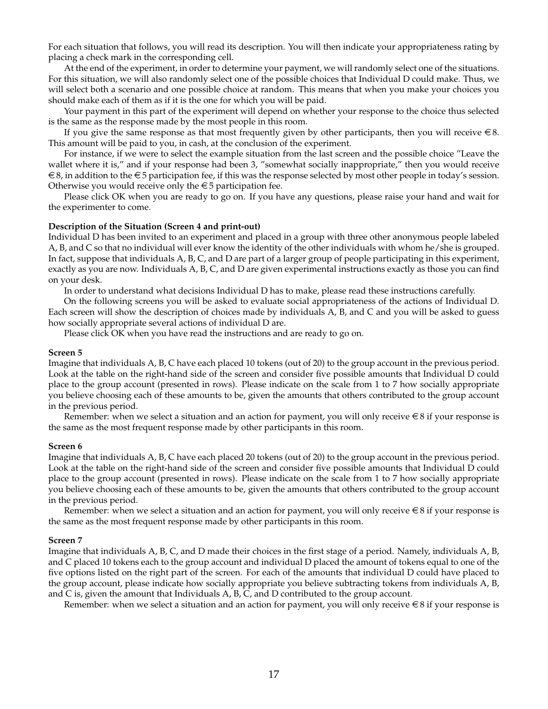For each situation that follows, you will read its description. You will then indicate your appropriateness rating by placing a check mark in the corresponding cell.

At the end of the experiment, in order to determine your payment, we will randomly select one of the situations. For this situation, we will also randomly select one of the possible choices that Individual D could make. Thus, we will select both a scenario and one possible choice at random. This means that when you make your choices you should make each of them as if it is the one for which you will be paid.

Your payment in this part of the experiment will depend on whether your response to the choice thus selected is the same as the response made by the most people in this room.

If you give the same response as that most frequently given by other participants, then you will receive  $\in$  8. This amount will be paid to you, in cash, at the conclusion of the experiment.

For instance, if we were to select the example situation from the last screen and the possible choice "Leave the wallet where it is," and if your response had been 3, "somewhat socially inappropriate," then you would receive  $\epsilon \in S$ , in addition to the  $\epsilon \in S$  participation fee, if this was the response selected by most other people in today's session. Otherwise you would receive only the  $\epsilon$  5 participation fee.

Please click OK when you are ready to go on. If you have any questions, please raise your hand and wait for the experimenter to come.

## **Description of the Situation (Screen 4 and print-out)**

Individual D has been invited to an experiment and placed in a group with three other anonymous people labeled A, B, and C so that no individual will ever know the identity of the other individuals with whom he/she is grouped. In fact, suppose that individuals A, B, C, and D are part of a larger group of people participating in this experiment, exactly as you are now. Individuals A, B, C, and D are given experimental instructions exactly as those you can find on your desk.

In order to understand what decisions Individual D has to make, please read these instructions carefully.

On the following screens you will be asked to evaluate social appropriateness of the actions of Individual D. Each screen will show the description of choices made by individuals A, B, and C and you will be asked to guess how socially appropriate several actions of individual D are.

Please click OK when you have read the instructions and are ready to go on.

#### **Screen 5**

Imagine that individuals A, B, C have each placed 10 tokens (out of 20) to the group account in the previous period. Look at the table on the right-hand side of the screen and consider five possible amounts that Individual D could place to the group account (presented in rows). Please indicate on the scale from 1 to 7 how socially appropriate you believe choosing each of these amounts to be, given the amounts that others contributed to the group account in the previous period.

Remember: when we select a situation and an action for payment, you will only receive  $\in$  8 if your response is the same as the most frequent response made by other participants in this room.

#### **Screen 6**

Imagine that individuals A, B, C have each placed 20 tokens (out of 20) to the group account in the previous period. Look at the table on the right-hand side of the screen and consider five possible amounts that Individual D could place to the group account (presented in rows). Please indicate on the scale from 1 to 7 how socially appropriate you believe choosing each of these amounts to be, given the amounts that others contributed to the group account in the previous period.

Remember: when we select a situation and an action for payment, you will only receive  $\in$  8 if your response is the same as the most frequent response made by other participants in this room.

#### **Screen 7**

Imagine that individuals A, B, C, and D made their choices in the first stage of a period. Namely, individuals A, B, and C placed 10 tokens each to the group account and individual D placed the amount of tokens equal to one of the five options listed on the right part of the screen. For each of the amounts that individual D could have placed to the group account, please indicate how socially appropriate you believe subtracting tokens from individuals A, B, and C is, given the amount that Individuals A, B, C, and D contributed to the group account.

Remember: when we select a situation and an action for payment, you will only receive  $\in$  8 if your response is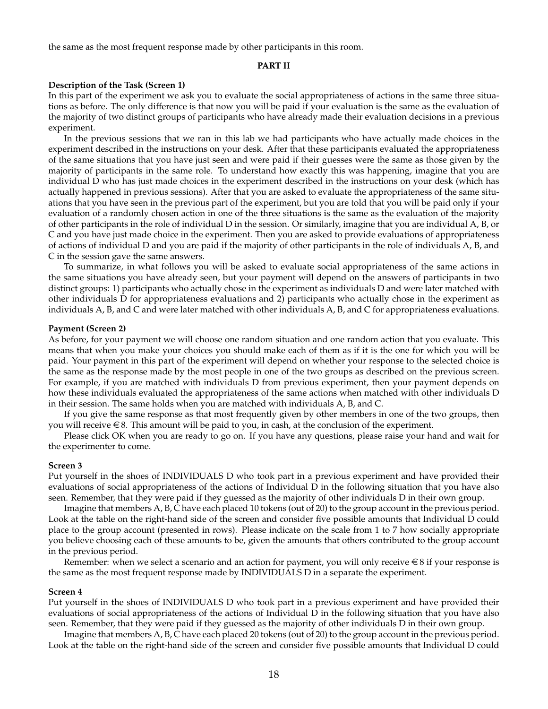the same as the most frequent response made by other participants in this room.

#### **PART II**

#### **Description of the Task (Screen 1)**

In this part of the experiment we ask you to evaluate the social appropriateness of actions in the same three situations as before. The only difference is that now you will be paid if your evaluation is the same as the evaluation of the majority of two distinct groups of participants who have already made their evaluation decisions in a previous experiment.

In the previous sessions that we ran in this lab we had participants who have actually made choices in the experiment described in the instructions on your desk. After that these participants evaluated the appropriateness of the same situations that you have just seen and were paid if their guesses were the same as those given by the majority of participants in the same role. To understand how exactly this was happening, imagine that you are individual D who has just made choices in the experiment described in the instructions on your desk (which has actually happened in previous sessions). After that you are asked to evaluate the appropriateness of the same situations that you have seen in the previous part of the experiment, but you are told that you will be paid only if your evaluation of a randomly chosen action in one of the three situations is the same as the evaluation of the majority of other participants in the role of individual D in the session. Or similarly, imagine that you are individual A, B, or C and you have just made choice in the experiment. Then you are asked to provide evaluations of appropriateness of actions of individual D and you are paid if the majority of other participants in the role of individuals A, B, and C in the session gave the same answers.

To summarize, in what follows you will be asked to evaluate social appropriateness of the same actions in the same situations you have already seen, but your payment will depend on the answers of participants in two distinct groups: 1) participants who actually chose in the experiment as individuals D and were later matched with other individuals D for appropriateness evaluations and 2) participants who actually chose in the experiment as individuals A, B, and C and were later matched with other individuals A, B, and C for appropriateness evaluations.

### **Payment (Screen 2)**

As before, for your payment we will choose one random situation and one random action that you evaluate. This means that when you make your choices you should make each of them as if it is the one for which you will be paid. Your payment in this part of the experiment will depend on whether your response to the selected choice is the same as the response made by the most people in one of the two groups as described on the previous screen. For example, if you are matched with individuals D from previous experiment, then your payment depends on how these individuals evaluated the appropriateness of the same actions when matched with other individuals D in their session. The same holds when you are matched with individuals A, B, and C.

If you give the same response as that most frequently given by other members in one of the two groups, then you will receive  $\in$  8. This amount will be paid to you, in cash, at the conclusion of the experiment.

Please click OK when you are ready to go on. If you have any questions, please raise your hand and wait for the experimenter to come.

#### **Screen 3**

Put yourself in the shoes of INDIVIDUALS D who took part in a previous experiment and have provided their evaluations of social appropriateness of the actions of Individual D in the following situation that you have also seen. Remember, that they were paid if they guessed as the majority of other individuals D in their own group.

Imagine that members A, B, C have each placed 10 tokens (out of 20) to the group account in the previous period. Look at the table on the right-hand side of the screen and consider five possible amounts that Individual D could place to the group account (presented in rows). Please indicate on the scale from 1 to 7 how socially appropriate you believe choosing each of these amounts to be, given the amounts that others contributed to the group account in the previous period.

Remember: when we select a scenario and an action for payment, you will only receive  $\in$  8 if your response is the same as the most frequent response made by INDIVIDUALS D in a separate the experiment.

#### **Screen 4**

Put yourself in the shoes of INDIVIDUALS D who took part in a previous experiment and have provided their evaluations of social appropriateness of the actions of Individual D in the following situation that you have also seen. Remember, that they were paid if they guessed as the majority of other individuals D in their own group.

Imagine that members A, B, C have each placed 20 tokens (out of 20) to the group account in the previous period. Look at the table on the right-hand side of the screen and consider five possible amounts that Individual D could